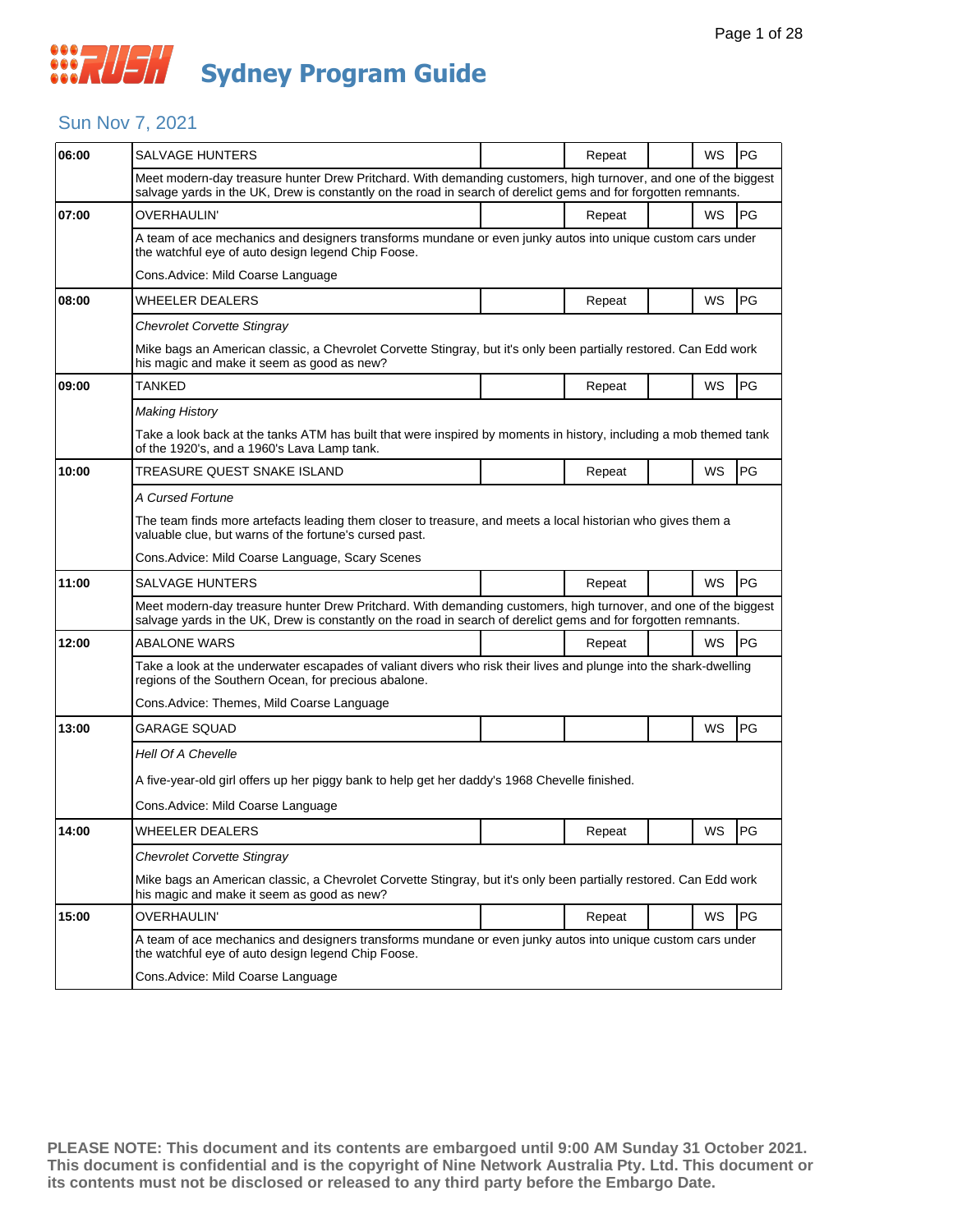### Sun Nov 7, 2021

| 06:00 | <b>SALVAGE HUNTERS</b>                                                                                                                                                                                                            |  | Repeat |  | WS | PG        |  |  |
|-------|-----------------------------------------------------------------------------------------------------------------------------------------------------------------------------------------------------------------------------------|--|--------|--|----|-----------|--|--|
|       | Meet modern-day treasure hunter Drew Pritchard. With demanding customers, high turnover, and one of the biggest<br>salvage yards in the UK, Drew is constantly on the road in search of derelict gems and for forgotten remnants. |  |        |  |    |           |  |  |
| 07:00 | OVERHAULIN'                                                                                                                                                                                                                       |  | Repeat |  | WS | PG        |  |  |
|       | A team of ace mechanics and designers transforms mundane or even junky autos into unique custom cars under<br>the watchful eye of auto design legend Chip Foose.                                                                  |  |        |  |    |           |  |  |
|       | Cons.Advice: Mild Coarse Language                                                                                                                                                                                                 |  |        |  |    |           |  |  |
| 08:00 | WHEELER DEALERS                                                                                                                                                                                                                   |  | Repeat |  | WS | PG        |  |  |
|       | Chevrolet Corvette Stingray                                                                                                                                                                                                       |  |        |  |    |           |  |  |
|       | Mike bags an American classic, a Chevrolet Corvette Stingray, but it's only been partially restored. Can Edd work<br>his magic and make it seem as good as new?                                                                   |  |        |  |    |           |  |  |
| 09:00 | TANKED                                                                                                                                                                                                                            |  | Repeat |  | WS | PG        |  |  |
|       | Making History                                                                                                                                                                                                                    |  |        |  |    |           |  |  |
|       | Take a look back at the tanks ATM has built that were inspired by moments in history, including a mob themed tank<br>of the 1920's, and a 1960's Lava Lamp tank.                                                                  |  |        |  |    |           |  |  |
| 10:00 | TREASURE QUEST SNAKE ISLAND                                                                                                                                                                                                       |  | Repeat |  | WS | PG        |  |  |
|       | A Cursed Fortune                                                                                                                                                                                                                  |  |        |  |    |           |  |  |
|       | The team finds more artefacts leading them closer to treasure, and meets a local historian who gives them a<br>valuable clue, but warns of the fortune's cursed past.                                                             |  |        |  |    |           |  |  |
|       | Cons. Advice: Mild Coarse Language, Scary Scenes                                                                                                                                                                                  |  |        |  |    |           |  |  |
| 11:00 | SALVAGE HUNTERS                                                                                                                                                                                                                   |  | Repeat |  | WS | <b>PG</b> |  |  |
|       | Meet modern-day treasure hunter Drew Pritchard. With demanding customers, high turnover, and one of the biggest<br>salvage yards in the UK, Drew is constantly on the road in search of derelict gems and for forgotten remnants. |  |        |  |    |           |  |  |
| 12:00 | <b>ABALONE WARS</b>                                                                                                                                                                                                               |  | Repeat |  | WS | PG        |  |  |
|       | Take a look at the underwater escapades of valiant divers who risk their lives and plunge into the shark-dwelling<br>regions of the Southern Ocean, for precious abalone.                                                         |  |        |  |    |           |  |  |
|       | Cons.Advice: Themes, Mild Coarse Language                                                                                                                                                                                         |  |        |  |    |           |  |  |
| 13:00 | <b>GARAGE SQUAD</b>                                                                                                                                                                                                               |  |        |  | WS | PG        |  |  |
|       | <b>Hell Of A Chevelle</b>                                                                                                                                                                                                         |  |        |  |    |           |  |  |
|       | A five-year-old girl offers up her piggy bank to help get her daddy's 1968 Chevelle finished.                                                                                                                                     |  |        |  |    |           |  |  |
|       | Cons.Advice: Mild Coarse Language                                                                                                                                                                                                 |  |        |  |    |           |  |  |
| 14:00 | WHEELER DEALERS                                                                                                                                                                                                                   |  | Repeat |  | WS | PG        |  |  |
|       | Chevrolet Corvette Stingray                                                                                                                                                                                                       |  |        |  |    |           |  |  |
|       | Mike bags an American classic, a Chevrolet Corvette Stingray, but it's only been partially restored. Can Edd work<br>his magic and make it seem as good as new?                                                                   |  |        |  |    |           |  |  |
| 15:00 | <b>OVERHAULIN'</b>                                                                                                                                                                                                                |  | Repeat |  | WS | PG        |  |  |
|       | A team of ace mechanics and designers transforms mundane or even junky autos into unique custom cars under<br>the watchful eye of auto design legend Chip Foose.                                                                  |  |        |  |    |           |  |  |
|       | Cons. Advice: Mild Coarse Language                                                                                                                                                                                                |  |        |  |    |           |  |  |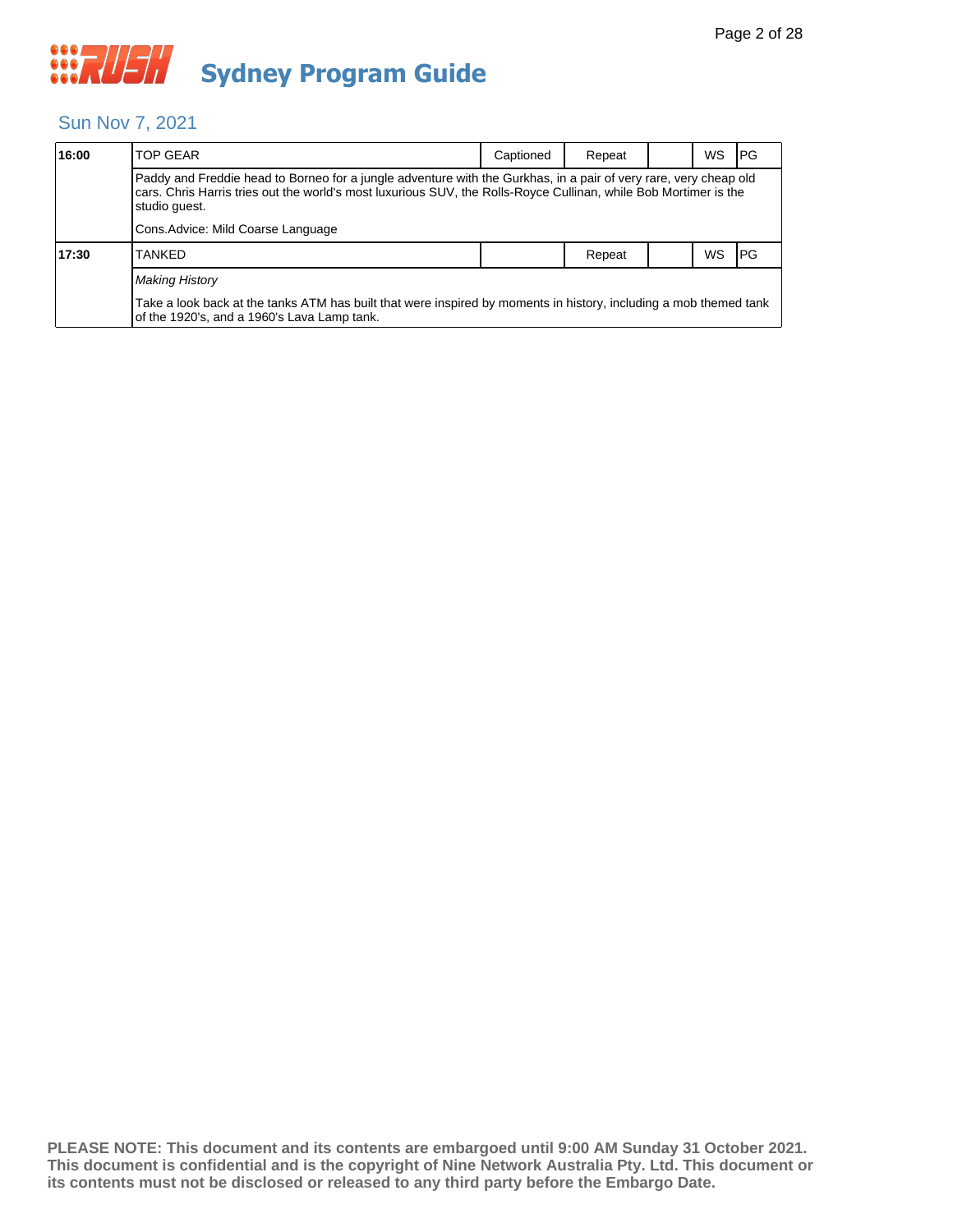### Sun Nov 7, 2021

| 16:00 | <b>TOP GEAR</b>                                                                                                                                                                                                                                       | Captioned | Repeat |  | WS. | <b>IPG</b> |  |  |
|-------|-------------------------------------------------------------------------------------------------------------------------------------------------------------------------------------------------------------------------------------------------------|-----------|--------|--|-----|------------|--|--|
|       | Paddy and Freddie head to Borneo for a jungle adventure with the Gurkhas, in a pair of very rare, very cheap old<br>cars. Chris Harris tries out the world's most luxurious SUV, the Rolls-Royce Cullinan, while Bob Mortimer is the<br>studio quest. |           |        |  |     |            |  |  |
|       | Cons.Advice: Mild Coarse Language                                                                                                                                                                                                                     |           |        |  |     |            |  |  |
| 17:30 | TANKED                                                                                                                                                                                                                                                |           | Repeat |  | WS  | l PG       |  |  |
|       | <b>Making History</b>                                                                                                                                                                                                                                 |           |        |  |     |            |  |  |
|       | Take a look back at the tanks ATM has built that were inspired by moments in history, including a mob themed tank<br>of the 1920's, and a 1960's Lava Lamp tank.                                                                                      |           |        |  |     |            |  |  |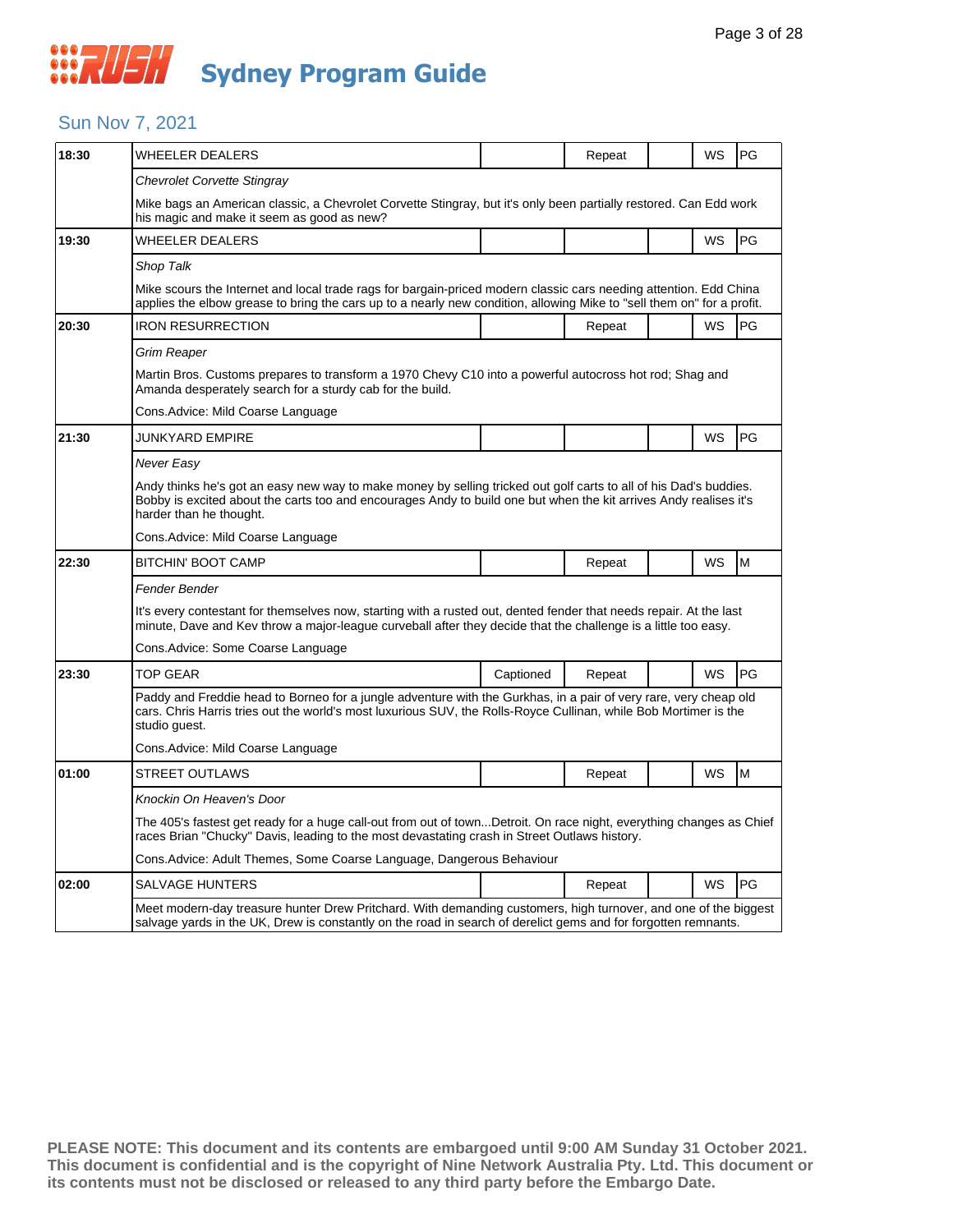### Sun Nov 7, 2021

| 18:30 | WHEELER DEALERS                                                                                                                                                                                                                                                   |           | Repeat |  | WS        | PG        |  |  |  |
|-------|-------------------------------------------------------------------------------------------------------------------------------------------------------------------------------------------------------------------------------------------------------------------|-----------|--------|--|-----------|-----------|--|--|--|
|       | Chevrolet Corvette Stingray                                                                                                                                                                                                                                       |           |        |  |           |           |  |  |  |
|       | Mike bags an American classic, a Chevrolet Corvette Stingray, but it's only been partially restored. Can Edd work<br>his magic and make it seem as good as new?                                                                                                   |           |        |  |           |           |  |  |  |
| 19:30 | <b>WHEELER DEALERS</b>                                                                                                                                                                                                                                            |           |        |  | <b>WS</b> | PG        |  |  |  |
|       | Shop Talk                                                                                                                                                                                                                                                         |           |        |  |           |           |  |  |  |
|       | Mike scours the Internet and local trade rags for bargain-priced modern classic cars needing attention. Edd China<br>applies the elbow grease to bring the cars up to a nearly new condition, allowing Mike to "sell them on" for a profit.                       |           |        |  |           |           |  |  |  |
| 20:30 | <b>IRON RESURRECTION</b>                                                                                                                                                                                                                                          |           | Repeat |  | WS        | PG        |  |  |  |
|       | Grim Reaper                                                                                                                                                                                                                                                       |           |        |  |           |           |  |  |  |
|       | Martin Bros. Customs prepares to transform a 1970 Chevy C10 into a powerful autocross hot rod; Shag and<br>Amanda desperately search for a sturdy cab for the build.                                                                                              |           |        |  |           |           |  |  |  |
|       | Cons.Advice: Mild Coarse Language                                                                                                                                                                                                                                 |           |        |  |           |           |  |  |  |
| 21:30 | JUNKYARD EMPIRE                                                                                                                                                                                                                                                   |           |        |  | <b>WS</b> | PG        |  |  |  |
|       | Never Easy                                                                                                                                                                                                                                                        |           |        |  |           |           |  |  |  |
|       | Andy thinks he's got an easy new way to make money by selling tricked out golf carts to all of his Dad's buddies.<br>Bobby is excited about the carts too and encourages Andy to build one but when the kit arrives Andy realises it's<br>harder than he thought. |           |        |  |           |           |  |  |  |
|       | Cons.Advice: Mild Coarse Language                                                                                                                                                                                                                                 |           |        |  |           |           |  |  |  |
| 22:30 | BITCHIN' BOOT CAMP                                                                                                                                                                                                                                                |           | Repeat |  | WS        | M         |  |  |  |
|       | Fender Bender                                                                                                                                                                                                                                                     |           |        |  |           |           |  |  |  |
|       | It's every contestant for themselves now, starting with a rusted out, dented fender that needs repair. At the last<br>minute, Dave and Kev throw a major-league curveball after they decide that the challenge is a little too easy.                              |           |        |  |           |           |  |  |  |
|       | Cons.Advice: Some Coarse Language                                                                                                                                                                                                                                 |           |        |  |           |           |  |  |  |
| 23:30 | <b>TOP GEAR</b>                                                                                                                                                                                                                                                   | Captioned | Repeat |  | <b>WS</b> | PG        |  |  |  |
|       | Paddy and Freddie head to Borneo for a jungle adventure with the Gurkhas, in a pair of very rare, very cheap old<br>cars. Chris Harris tries out the world's most luxurious SUV, the Rolls-Royce Cullinan, while Bob Mortimer is the<br>studio guest.             |           |        |  |           |           |  |  |  |
|       | Cons.Advice: Mild Coarse Language                                                                                                                                                                                                                                 |           |        |  |           |           |  |  |  |
| 01:00 | <b>STREET OUTLAWS</b>                                                                                                                                                                                                                                             |           | Repeat |  | <b>WS</b> | M         |  |  |  |
|       | Knockin On Heaven's Door                                                                                                                                                                                                                                          |           |        |  |           |           |  |  |  |
|       | The 405's fastest get ready for a huge call-out from out of townDetroit. On race night, everything changes as Chief<br>races Brian "Chucky" Davis, leading to the most devastating crash in Street Outlaws history.                                               |           |        |  |           |           |  |  |  |
|       | Cons.Advice: Adult Themes, Some Coarse Language, Dangerous Behaviour                                                                                                                                                                                              |           |        |  |           |           |  |  |  |
| 02:00 | <b>SALVAGE HUNTERS</b>                                                                                                                                                                                                                                            |           | Repeat |  | WS        | <b>PG</b> |  |  |  |
|       | Meet modern-day treasure hunter Drew Pritchard. With demanding customers, high turnover, and one of the biggest<br>salvage yards in the UK, Drew is constantly on the road in search of derelict gems and for forgotten remnants.                                 |           |        |  |           |           |  |  |  |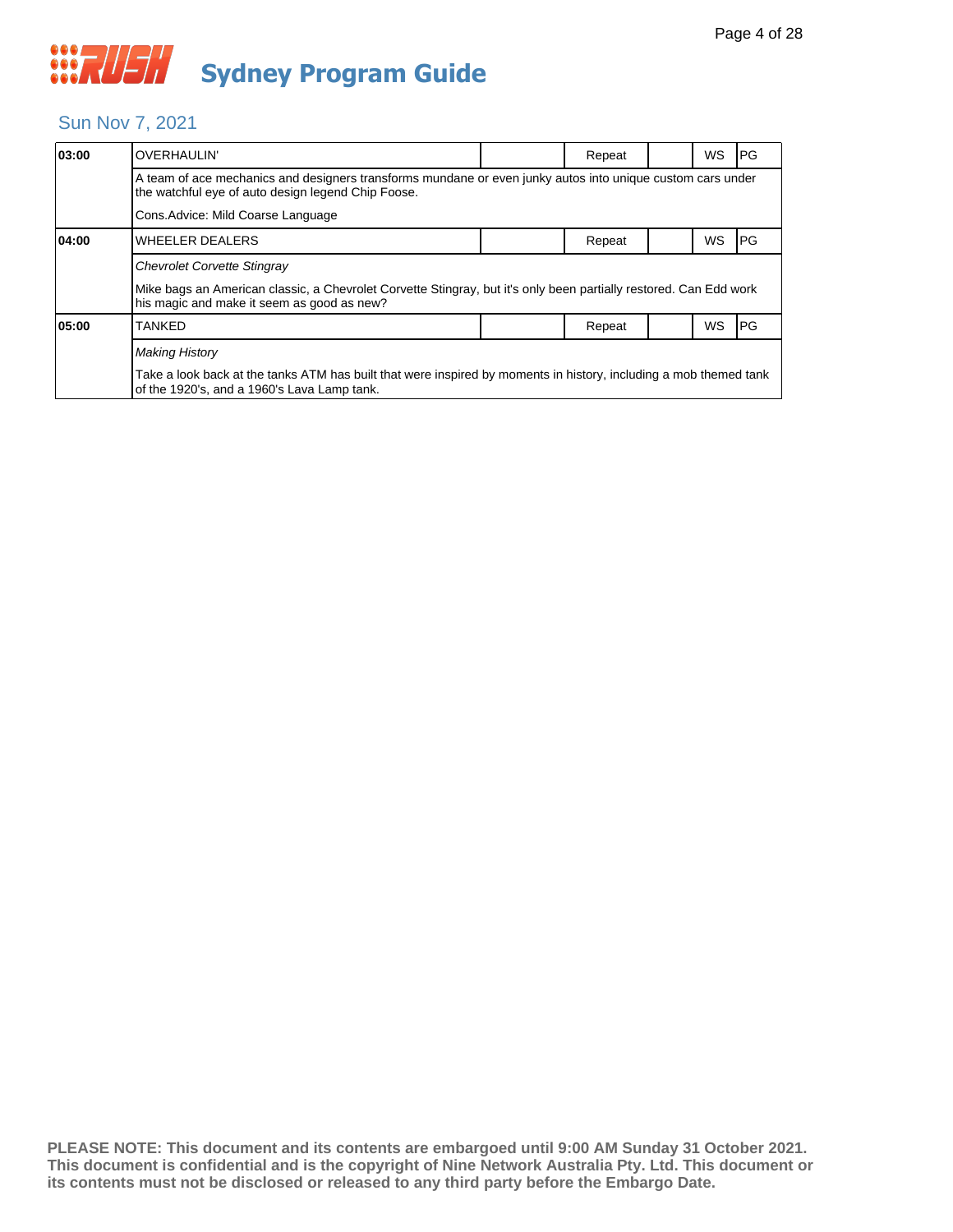#### Sun Nov 7, 2021

| 03:00                                                                                                                                                            | OVERHAULIN'                                                                                                                                                      |  | Repeat |  | WS        | IPG.       |  |  |  |
|------------------------------------------------------------------------------------------------------------------------------------------------------------------|------------------------------------------------------------------------------------------------------------------------------------------------------------------|--|--------|--|-----------|------------|--|--|--|
| A team of ace mechanics and designers transforms mundane or even junky autos into unique custom cars under<br>the watchful eye of auto design legend Chip Foose. |                                                                                                                                                                  |  |        |  |           |            |  |  |  |
|                                                                                                                                                                  | Cons. Advice: Mild Coarse Language                                                                                                                               |  |        |  |           |            |  |  |  |
| 04:00                                                                                                                                                            | <b>WHEELER DEALERS</b>                                                                                                                                           |  | Repeat |  | <b>WS</b> | IPG.       |  |  |  |
|                                                                                                                                                                  | <b>Chevrolet Corvette Stingray</b>                                                                                                                               |  |        |  |           |            |  |  |  |
|                                                                                                                                                                  | Mike bags an American classic, a Chevrolet Corvette Stingray, but it's only been partially restored. Can Edd work<br>his magic and make it seem as good as new?  |  |        |  |           |            |  |  |  |
| 05:00                                                                                                                                                            | TANKED                                                                                                                                                           |  | Repeat |  | WS        | <b>IPG</b> |  |  |  |
|                                                                                                                                                                  | <b>Making History</b>                                                                                                                                            |  |        |  |           |            |  |  |  |
|                                                                                                                                                                  | Take a look back at the tanks ATM has built that were inspired by moments in history, including a mob themed tank<br>of the 1920's, and a 1960's Lava Lamp tank. |  |        |  |           |            |  |  |  |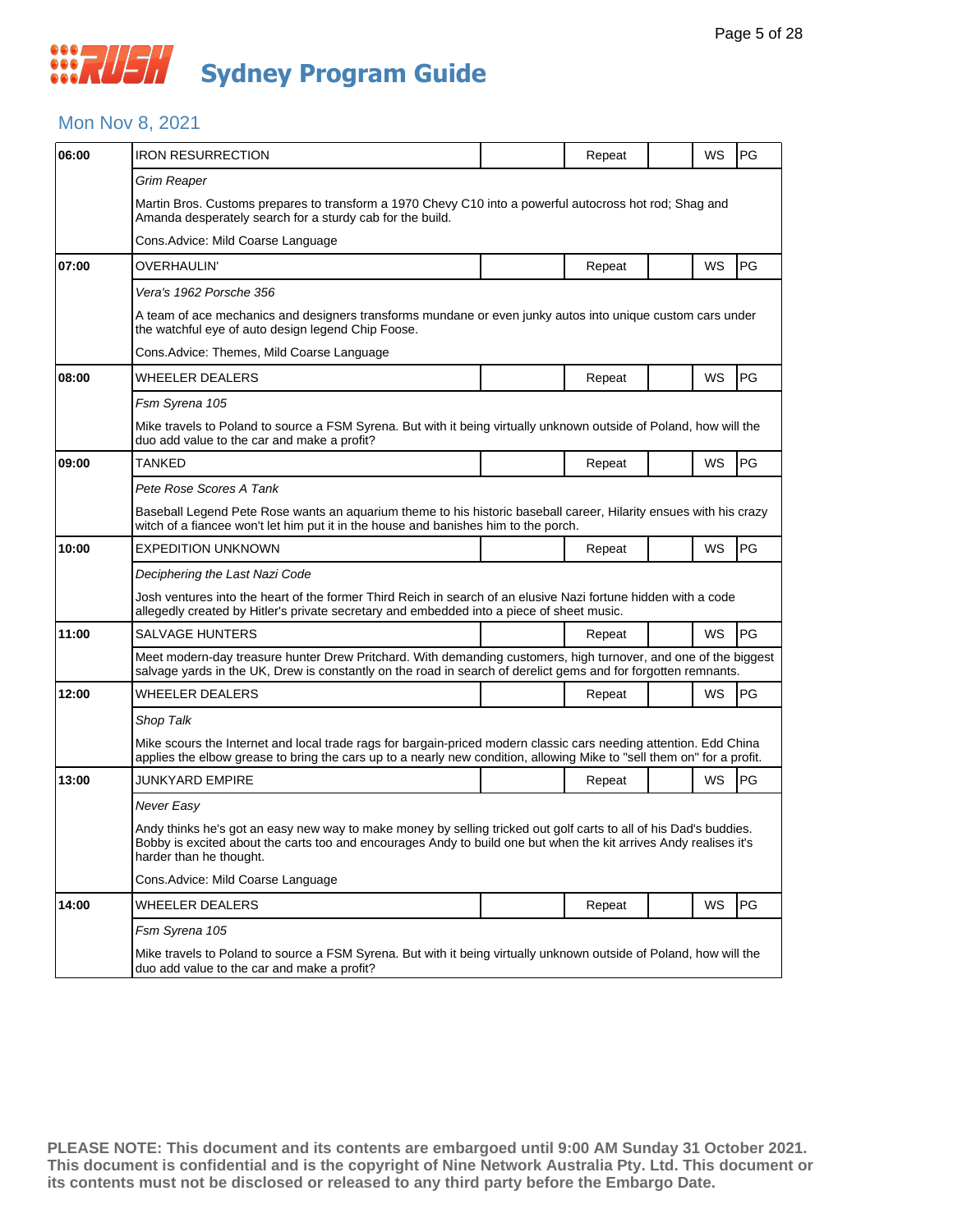### Mon Nov 8, 2021

| 06:00 | <b>IRON RESURRECTION</b>                                                                                                                                                                                                                                          |  | Repeat |  | WS        | PG        |  |  |  |
|-------|-------------------------------------------------------------------------------------------------------------------------------------------------------------------------------------------------------------------------------------------------------------------|--|--------|--|-----------|-----------|--|--|--|
|       | Grim Reaper                                                                                                                                                                                                                                                       |  |        |  |           |           |  |  |  |
|       | Martin Bros. Customs prepares to transform a 1970 Chevy C10 into a powerful autocross hot rod; Shag and<br>Amanda desperately search for a sturdy cab for the build.                                                                                              |  |        |  |           |           |  |  |  |
|       | Cons.Advice: Mild Coarse Language                                                                                                                                                                                                                                 |  |        |  |           |           |  |  |  |
| 07:00 | OVERHAULIN'                                                                                                                                                                                                                                                       |  | Repeat |  | WS        | PG        |  |  |  |
|       | Vera's 1962 Porsche 356                                                                                                                                                                                                                                           |  |        |  |           |           |  |  |  |
|       | A team of ace mechanics and designers transforms mundane or even junky autos into unique custom cars under<br>the watchful eye of auto design legend Chip Foose.                                                                                                  |  |        |  |           |           |  |  |  |
|       | Cons. Advice: Themes, Mild Coarse Language                                                                                                                                                                                                                        |  |        |  |           |           |  |  |  |
| 08:00 | WHEELER DEALERS                                                                                                                                                                                                                                                   |  | Repeat |  | WS        | PG        |  |  |  |
|       | Fsm Syrena 105                                                                                                                                                                                                                                                    |  |        |  |           |           |  |  |  |
|       | Mike travels to Poland to source a FSM Syrena. But with it being virtually unknown outside of Poland, how will the<br>duo add value to the car and make a profit?                                                                                                 |  |        |  |           |           |  |  |  |
| 09:00 | TANKED                                                                                                                                                                                                                                                            |  | Repeat |  | WS        | PG        |  |  |  |
|       | Pete Rose Scores A Tank                                                                                                                                                                                                                                           |  |        |  |           |           |  |  |  |
|       | Baseball Legend Pete Rose wants an aquarium theme to his historic baseball career, Hilarity ensues with his crazy<br>witch of a fiancee won't let him put it in the house and banishes him to the porch.                                                          |  |        |  |           |           |  |  |  |
| 10:00 | <b>EXPEDITION UNKNOWN</b>                                                                                                                                                                                                                                         |  | Repeat |  | WS        | <b>PG</b> |  |  |  |
|       | Deciphering the Last Nazi Code                                                                                                                                                                                                                                    |  |        |  |           |           |  |  |  |
|       | Josh ventures into the heart of the former Third Reich in search of an elusive Nazi fortune hidden with a code<br>allegedly created by Hitler's private secretary and embedded into a piece of sheet music.                                                       |  |        |  |           |           |  |  |  |
| 11:00 | <b>SALVAGE HUNTERS</b>                                                                                                                                                                                                                                            |  | Repeat |  | WS        | PG        |  |  |  |
|       | Meet modern-day treasure hunter Drew Pritchard. With demanding customers, high turnover, and one of the biggest<br>salvage yards in the UK, Drew is constantly on the road in search of derelict gems and for forgotten remnants.                                 |  |        |  |           |           |  |  |  |
| 12:00 | WHEELER DEALERS                                                                                                                                                                                                                                                   |  | Repeat |  | <b>WS</b> | PG        |  |  |  |
|       | Shop Talk                                                                                                                                                                                                                                                         |  |        |  |           |           |  |  |  |
|       | Mike scours the Internet and local trade rags for bargain-priced modern classic cars needing attention. Edd China<br>applies the elbow grease to bring the cars up to a nearly new condition, allowing Mike to "sell them on" for a profit.                       |  |        |  |           |           |  |  |  |
| 13:00 | <b>JUNKYARD EMPIRE</b>                                                                                                                                                                                                                                            |  | Repeat |  | WS        | PG        |  |  |  |
|       | Never Easy                                                                                                                                                                                                                                                        |  |        |  |           |           |  |  |  |
|       | Andy thinks he's got an easy new way to make money by selling tricked out golf carts to all of his Dad's buddies.<br>Bobby is excited about the carts too and encourages Andy to build one but when the kit arrives Andy realises it's<br>harder than he thought. |  |        |  |           |           |  |  |  |
|       | Cons. Advice: Mild Coarse Language                                                                                                                                                                                                                                |  |        |  |           |           |  |  |  |
| 14:00 | <b>WHEELER DEALERS</b>                                                                                                                                                                                                                                            |  | Repeat |  | WS        | PG        |  |  |  |
|       | Fsm Syrena 105                                                                                                                                                                                                                                                    |  |        |  |           |           |  |  |  |
|       | Mike travels to Poland to source a FSM Syrena. But with it being virtually unknown outside of Poland, how will the<br>duo add value to the car and make a profit?                                                                                                 |  |        |  |           |           |  |  |  |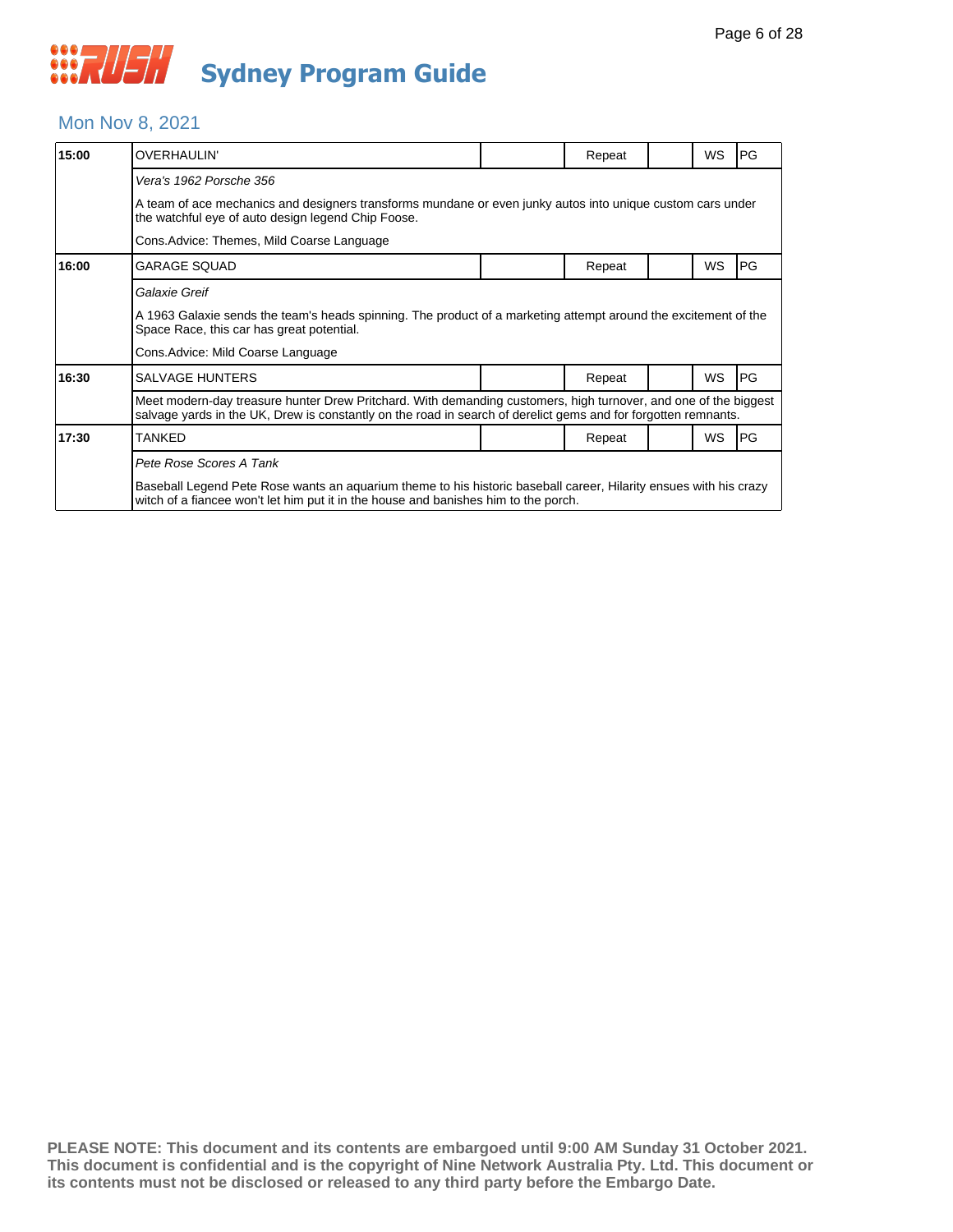### Mon Nov 8, 2021

| 15:00 | <b>OVERHAULIN'</b>                                                                                                                                                                                                                |                                                                                                            | Repeat |  | WS        | PG        |  |  |  |  |
|-------|-----------------------------------------------------------------------------------------------------------------------------------------------------------------------------------------------------------------------------------|------------------------------------------------------------------------------------------------------------|--------|--|-----------|-----------|--|--|--|--|
|       | Vera's 1962 Porsche 356                                                                                                                                                                                                           |                                                                                                            |        |  |           |           |  |  |  |  |
|       | the watchful eye of auto design legend Chip Foose.                                                                                                                                                                                | A team of ace mechanics and designers transforms mundane or even junky autos into unique custom cars under |        |  |           |           |  |  |  |  |
|       | Cons. Advice: Themes, Mild Coarse Language                                                                                                                                                                                        |                                                                                                            |        |  |           |           |  |  |  |  |
| 16:00 | <b>GARAGE SQUAD</b>                                                                                                                                                                                                               |                                                                                                            | Repeat |  | WS        | PG        |  |  |  |  |
|       | Galaxie Greif                                                                                                                                                                                                                     |                                                                                                            |        |  |           |           |  |  |  |  |
|       | A 1963 Galaxie sends the team's heads spinning. The product of a marketing attempt around the excitement of the<br>Space Race, this car has great potential.                                                                      |                                                                                                            |        |  |           |           |  |  |  |  |
|       | Cons. Advice: Mild Coarse Language                                                                                                                                                                                                |                                                                                                            |        |  |           |           |  |  |  |  |
| 16:30 | <b>SALVAGE HUNTERS</b>                                                                                                                                                                                                            |                                                                                                            | Repeat |  | <b>WS</b> | <b>PG</b> |  |  |  |  |
|       | Meet modern-day treasure hunter Drew Pritchard. With demanding customers, high turnover, and one of the biggest<br>salvage yards in the UK, Drew is constantly on the road in search of derelict gems and for forgotten remnants. |                                                                                                            |        |  |           |           |  |  |  |  |
| 17:30 | TANKED                                                                                                                                                                                                                            |                                                                                                            | Repeat |  | <b>WS</b> | PG        |  |  |  |  |
|       | Pete Rose Scores A Tank                                                                                                                                                                                                           |                                                                                                            |        |  |           |           |  |  |  |  |
|       | Baseball Legend Pete Rose wants an aquarium theme to his historic baseball career, Hilarity ensues with his crazy<br>witch of a fiancee won't let him put it in the house and banishes him to the porch.                          |                                                                                                            |        |  |           |           |  |  |  |  |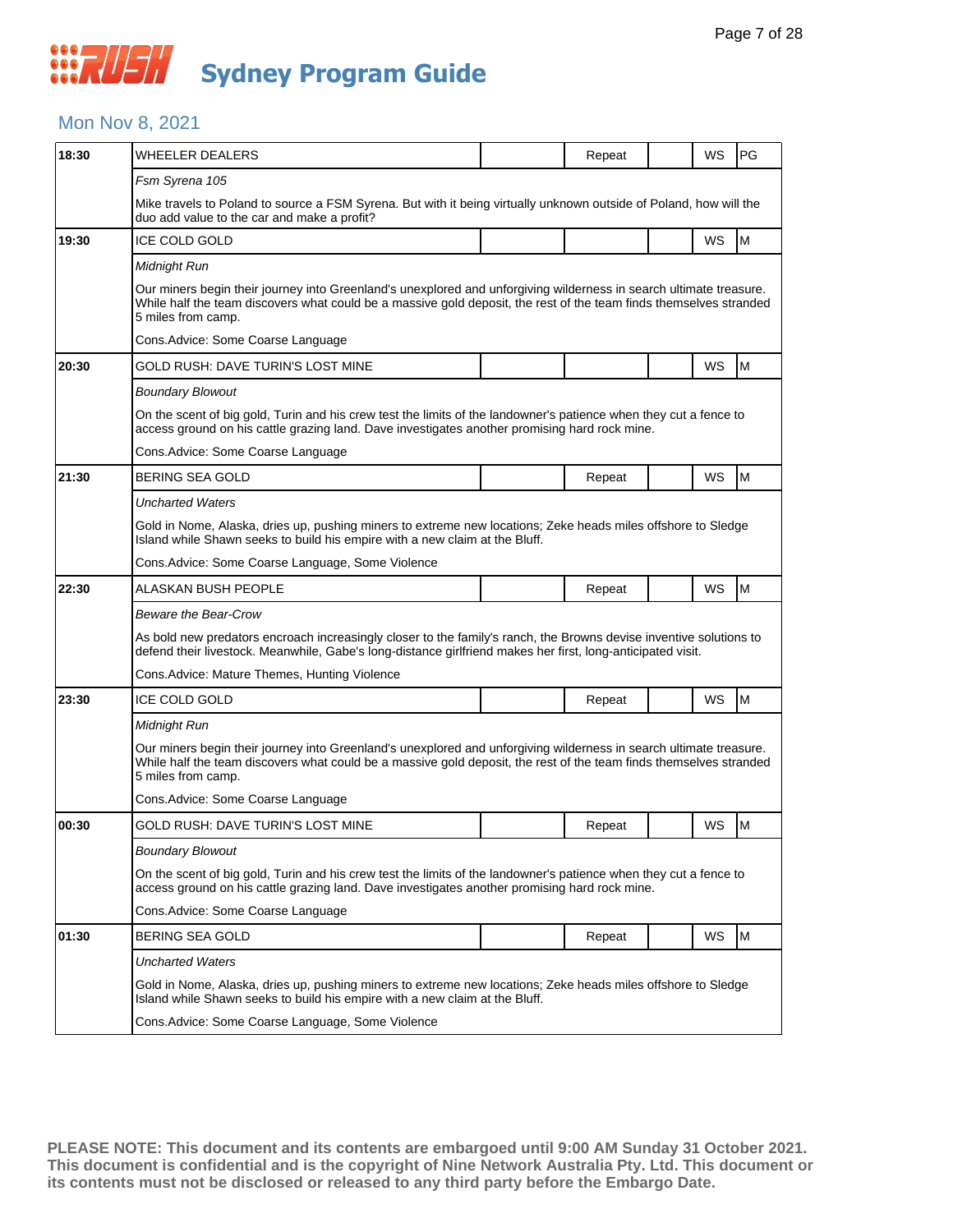### Mon Nov 8, 2021

| 18:30 | <b>WHEELER DEALERS</b>                                                                                                                                                                                                                                         |                                                                                                                                                                                                                                          | Repeat |  | WS        | PG |  |  |  |  |  |
|-------|----------------------------------------------------------------------------------------------------------------------------------------------------------------------------------------------------------------------------------------------------------------|------------------------------------------------------------------------------------------------------------------------------------------------------------------------------------------------------------------------------------------|--------|--|-----------|----|--|--|--|--|--|
|       | Fsm Syrena 105                                                                                                                                                                                                                                                 |                                                                                                                                                                                                                                          |        |  |           |    |  |  |  |  |  |
|       | Mike travels to Poland to source a FSM Syrena. But with it being virtually unknown outside of Poland, how will the<br>duo add value to the car and make a profit?                                                                                              |                                                                                                                                                                                                                                          |        |  |           |    |  |  |  |  |  |
| 19:30 | <b>ICE COLD GOLD</b>                                                                                                                                                                                                                                           |                                                                                                                                                                                                                                          |        |  | WS        | M  |  |  |  |  |  |
|       | Midnight Run                                                                                                                                                                                                                                                   |                                                                                                                                                                                                                                          |        |  |           |    |  |  |  |  |  |
|       | 5 miles from camp.                                                                                                                                                                                                                                             | Our miners begin their journey into Greenland's unexplored and unforgiving wilderness in search ultimate treasure.<br>While half the team discovers what could be a massive gold deposit, the rest of the team finds themselves stranded |        |  |           |    |  |  |  |  |  |
|       | Cons.Advice: Some Coarse Language                                                                                                                                                                                                                              |                                                                                                                                                                                                                                          |        |  |           |    |  |  |  |  |  |
| 20:30 | GOLD RUSH: DAVE TURIN'S LOST MINE                                                                                                                                                                                                                              |                                                                                                                                                                                                                                          |        |  | WS        | M  |  |  |  |  |  |
|       | <b>Boundary Blowout</b>                                                                                                                                                                                                                                        |                                                                                                                                                                                                                                          |        |  |           |    |  |  |  |  |  |
|       | On the scent of big gold, Turin and his crew test the limits of the landowner's patience when they cut a fence to<br>access ground on his cattle grazing land. Dave investigates another promising hard rock mine.                                             |                                                                                                                                                                                                                                          |        |  |           |    |  |  |  |  |  |
|       | Cons. Advice: Some Coarse Language                                                                                                                                                                                                                             |                                                                                                                                                                                                                                          |        |  |           |    |  |  |  |  |  |
| 21:30 | BERING SEA GOLD                                                                                                                                                                                                                                                |                                                                                                                                                                                                                                          | Repeat |  | WS        | M  |  |  |  |  |  |
|       | <b>Uncharted Waters</b>                                                                                                                                                                                                                                        |                                                                                                                                                                                                                                          |        |  |           |    |  |  |  |  |  |
|       | Gold in Nome, Alaska, dries up, pushing miners to extreme new locations; Zeke heads miles offshore to Sledge<br>Island while Shawn seeks to build his empire with a new claim at the Bluff.                                                                    |                                                                                                                                                                                                                                          |        |  |           |    |  |  |  |  |  |
|       | Cons. Advice: Some Coarse Language, Some Violence                                                                                                                                                                                                              |                                                                                                                                                                                                                                          |        |  |           |    |  |  |  |  |  |
| 22:30 | ALASKAN BUSH PEOPLE                                                                                                                                                                                                                                            |                                                                                                                                                                                                                                          | Repeat |  | WS        | M  |  |  |  |  |  |
|       | Beware the Bear-Crow                                                                                                                                                                                                                                           |                                                                                                                                                                                                                                          |        |  |           |    |  |  |  |  |  |
|       | As bold new predators encroach increasingly closer to the family's ranch, the Browns devise inventive solutions to<br>defend their livestock. Meanwhile, Gabe's long-distance girlfriend makes her first, long-anticipated visit.                              |                                                                                                                                                                                                                                          |        |  |           |    |  |  |  |  |  |
|       | Cons. Advice: Mature Themes, Hunting Violence                                                                                                                                                                                                                  |                                                                                                                                                                                                                                          |        |  |           |    |  |  |  |  |  |
| 23:30 | ICE COLD GOLD                                                                                                                                                                                                                                                  |                                                                                                                                                                                                                                          | Repeat |  | WS        | M  |  |  |  |  |  |
|       | Midnight Run                                                                                                                                                                                                                                                   |                                                                                                                                                                                                                                          |        |  |           |    |  |  |  |  |  |
|       | Our miners begin their journey into Greenland's unexplored and unforgiving wilderness in search ultimate treasure.<br>While half the team discovers what could be a massive gold deposit, the rest of the team finds themselves stranded<br>5 miles from camp. |                                                                                                                                                                                                                                          |        |  |           |    |  |  |  |  |  |
|       | Cons.Advice: Some Coarse Language                                                                                                                                                                                                                              |                                                                                                                                                                                                                                          |        |  |           |    |  |  |  |  |  |
| 00:30 | GOLD RUSH: DAVE TURIN'S LOST MINE                                                                                                                                                                                                                              |                                                                                                                                                                                                                                          | Repeat |  | WS        | M  |  |  |  |  |  |
|       | <b>Boundary Blowout</b>                                                                                                                                                                                                                                        |                                                                                                                                                                                                                                          |        |  |           |    |  |  |  |  |  |
|       | On the scent of big gold, Turin and his crew test the limits of the landowner's patience when they cut a fence to<br>access ground on his cattle grazing land. Dave investigates another promising hard rock mine.                                             |                                                                                                                                                                                                                                          |        |  |           |    |  |  |  |  |  |
|       | Cons.Advice: Some Coarse Language                                                                                                                                                                                                                              |                                                                                                                                                                                                                                          |        |  |           |    |  |  |  |  |  |
| 01:30 | <b>BERING SEA GOLD</b>                                                                                                                                                                                                                                         |                                                                                                                                                                                                                                          | Repeat |  | <b>WS</b> | M  |  |  |  |  |  |
|       | Uncharted Waters                                                                                                                                                                                                                                               |                                                                                                                                                                                                                                          |        |  |           |    |  |  |  |  |  |
|       | Gold in Nome, Alaska, dries up, pushing miners to extreme new locations; Zeke heads miles offshore to Sledge<br>Island while Shawn seeks to build his empire with a new claim at the Bluff.                                                                    |                                                                                                                                                                                                                                          |        |  |           |    |  |  |  |  |  |
|       | Cons. Advice: Some Coarse Language, Some Violence                                                                                                                                                                                                              |                                                                                                                                                                                                                                          |        |  |           |    |  |  |  |  |  |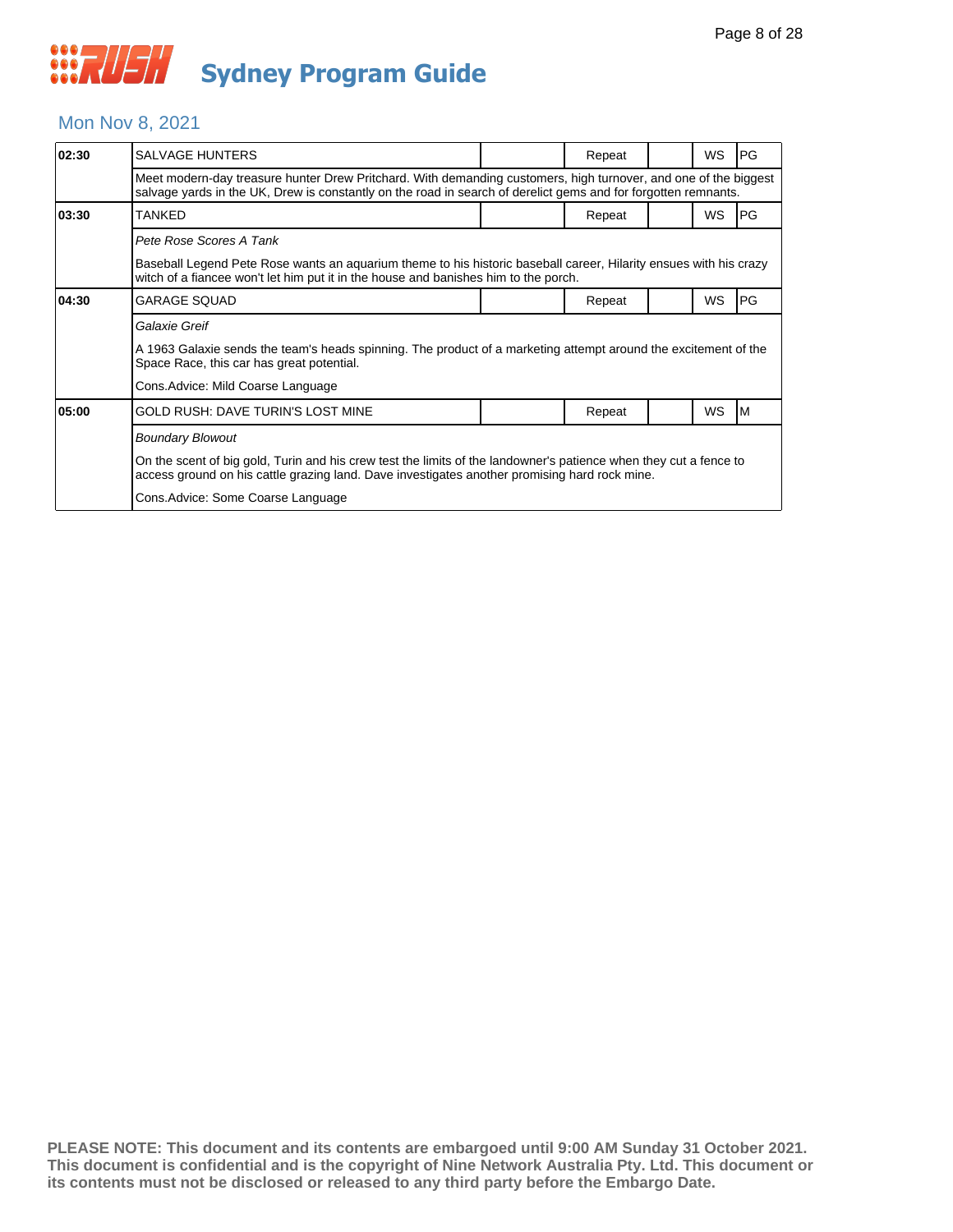### Mon Nov 8, 2021

| 02:30 | <b>SALVAGE HUNTERS</b>                                                                                                                                                                                                            |  | Repeat |  | <b>WS</b> | <b>PG</b> |  |  |
|-------|-----------------------------------------------------------------------------------------------------------------------------------------------------------------------------------------------------------------------------------|--|--------|--|-----------|-----------|--|--|
|       | Meet modern-day treasure hunter Drew Pritchard. With demanding customers, high turnover, and one of the biggest<br>salvage yards in the UK, Drew is constantly on the road in search of derelict gems and for forgotten remnants. |  |        |  |           |           |  |  |
| 03:30 | <b>TANKED</b>                                                                                                                                                                                                                     |  | Repeat |  | <b>WS</b> | PG        |  |  |
|       | Pete Rose Scores A Tank                                                                                                                                                                                                           |  |        |  |           |           |  |  |
|       | Baseball Legend Pete Rose wants an aquarium theme to his historic baseball career, Hilarity ensues with his crazy<br>witch of a fiancee won't let him put it in the house and banishes him to the porch.                          |  |        |  |           |           |  |  |
| 04:30 | <b>GARAGE SQUAD</b>                                                                                                                                                                                                               |  | Repeat |  | WS        | PG        |  |  |
|       | Galaxie Greif                                                                                                                                                                                                                     |  |        |  |           |           |  |  |
|       | A 1963 Galaxie sends the team's heads spinning. The product of a marketing attempt around the excitement of the<br>Space Race, this car has great potential.                                                                      |  |        |  |           |           |  |  |
|       | Cons. Advice: Mild Coarse Language                                                                                                                                                                                                |  |        |  |           |           |  |  |
| 05:00 | GOLD RUSH: DAVE TURIN'S LOST MINE                                                                                                                                                                                                 |  | Repeat |  | WS        | ΙM        |  |  |
|       | <b>Boundary Blowout</b>                                                                                                                                                                                                           |  |        |  |           |           |  |  |
|       | On the scent of big gold, Turin and his crew test the limits of the landowner's patience when they cut a fence to<br>access ground on his cattle grazing land. Dave investigates another promising hard rock mine.                |  |        |  |           |           |  |  |
|       | Cons. Advice: Some Coarse Language                                                                                                                                                                                                |  |        |  |           |           |  |  |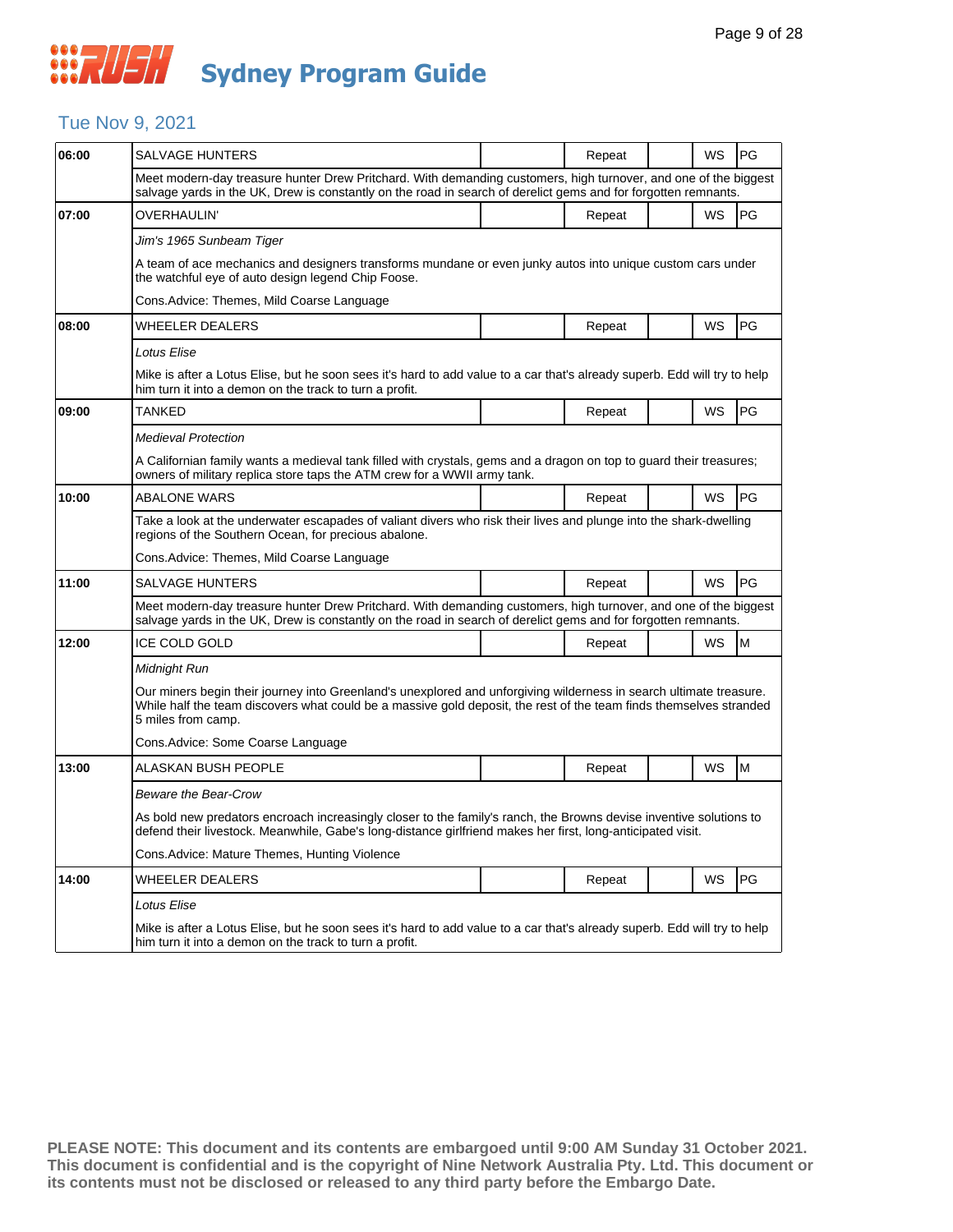### Tue Nov 9, 2021

| 06:00 | SALVAGE HUNTERS                                                                                                                                                                                                                                                |  | Repeat |  | WS | PG |  |  |  |
|-------|----------------------------------------------------------------------------------------------------------------------------------------------------------------------------------------------------------------------------------------------------------------|--|--------|--|----|----|--|--|--|
|       | Meet modern-day treasure hunter Drew Pritchard. With demanding customers, high turnover, and one of the biggest<br>salvage yards in the UK, Drew is constantly on the road in search of derelict gems and for forgotten remnants.                              |  |        |  |    |    |  |  |  |
| 07:00 | OVERHAULIN'                                                                                                                                                                                                                                                    |  | Repeat |  | WS | PG |  |  |  |
|       | Jim's 1965 Sunbeam Tiger                                                                                                                                                                                                                                       |  |        |  |    |    |  |  |  |
|       | A team of ace mechanics and designers transforms mundane or even junky autos into unique custom cars under<br>the watchful eye of auto design legend Chip Foose.                                                                                               |  |        |  |    |    |  |  |  |
|       | Cons.Advice: Themes, Mild Coarse Language                                                                                                                                                                                                                      |  |        |  |    |    |  |  |  |
| 08:00 | <b>WHEELER DEALERS</b>                                                                                                                                                                                                                                         |  | Repeat |  | WS | PG |  |  |  |
|       | Lotus Elise                                                                                                                                                                                                                                                    |  |        |  |    |    |  |  |  |
|       | Mike is after a Lotus Elise, but he soon sees it's hard to add value to a car that's already superb. Edd will try to help<br>him turn it into a demon on the track to turn a profit.                                                                           |  |        |  |    |    |  |  |  |
| 09:00 | TANKED                                                                                                                                                                                                                                                         |  | Repeat |  | WS | PG |  |  |  |
|       | <b>Medieval Protection</b>                                                                                                                                                                                                                                     |  |        |  |    |    |  |  |  |
|       | A Californian family wants a medieval tank filled with crystals, gems and a dragon on top to guard their treasures;<br>owners of military replica store taps the ATM crew for a WWII army tank.                                                                |  |        |  |    |    |  |  |  |
| 10:00 | <b>ABALONE WARS</b>                                                                                                                                                                                                                                            |  | Repeat |  | WS | PG |  |  |  |
|       | Take a look at the underwater escapades of valiant divers who risk their lives and plunge into the shark-dwelling<br>regions of the Southern Ocean, for precious abalone.                                                                                      |  |        |  |    |    |  |  |  |
|       | Cons.Advice: Themes, Mild Coarse Language                                                                                                                                                                                                                      |  |        |  |    |    |  |  |  |
| 11:00 | <b>SALVAGE HUNTERS</b>                                                                                                                                                                                                                                         |  | Repeat |  | WS | PG |  |  |  |
|       | Meet modern-day treasure hunter Drew Pritchard. With demanding customers, high turnover, and one of the biggest<br>salvage yards in the UK, Drew is constantly on the road in search of derelict gems and for forgotten remnants.                              |  |        |  |    |    |  |  |  |
| 12:00 | <b>ICE COLD GOLD</b>                                                                                                                                                                                                                                           |  | Repeat |  | WS | M  |  |  |  |
|       | Midnight Run                                                                                                                                                                                                                                                   |  |        |  |    |    |  |  |  |
|       | Our miners begin their journey into Greenland's unexplored and unforgiving wilderness in search ultimate treasure.<br>While half the team discovers what could be a massive gold deposit, the rest of the team finds themselves stranded<br>5 miles from camp. |  |        |  |    |    |  |  |  |
|       | Cons.Advice: Some Coarse Language                                                                                                                                                                                                                              |  |        |  |    |    |  |  |  |
| 13:00 | ALASKAN BUSH PEOPLE                                                                                                                                                                                                                                            |  | Repeat |  | WS | M  |  |  |  |
|       | Beware the Bear-Crow                                                                                                                                                                                                                                           |  |        |  |    |    |  |  |  |
|       | As bold new predators encroach increasingly closer to the family's ranch, the Browns devise inventive solutions to<br>defend their livestock. Meanwhile, Gabe's long-distance girlfriend makes her first, long-anticipated visit.                              |  |        |  |    |    |  |  |  |
|       | Cons.Advice: Mature Themes, Hunting Violence                                                                                                                                                                                                                   |  |        |  |    |    |  |  |  |
| 14:00 | WHEELER DEALERS                                                                                                                                                                                                                                                |  | Repeat |  | WS | PG |  |  |  |
|       | Lotus Elise                                                                                                                                                                                                                                                    |  |        |  |    |    |  |  |  |
|       | Mike is after a Lotus Elise, but he soon sees it's hard to add value to a car that's already superb. Edd will try to help<br>him turn it into a demon on the track to turn a profit.                                                                           |  |        |  |    |    |  |  |  |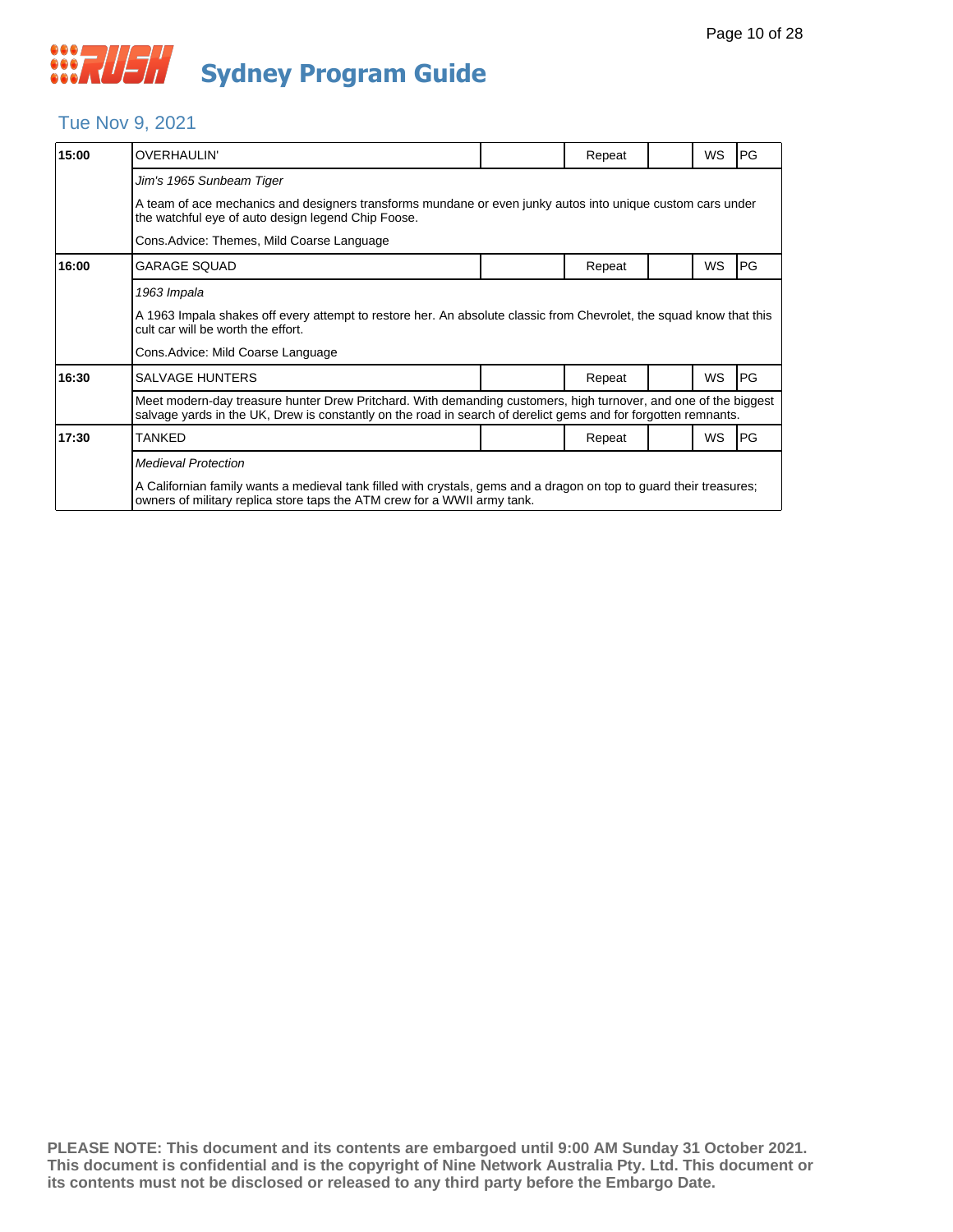### Tue Nov 9, 2021

| 15:00 | <b>OVERHAULIN'</b>                                                                                                                                                                                                                |  | Repeat |  | WS        | PG |  |  |  |
|-------|-----------------------------------------------------------------------------------------------------------------------------------------------------------------------------------------------------------------------------------|--|--------|--|-----------|----|--|--|--|
|       | Jim's 1965 Sunbeam Tiger                                                                                                                                                                                                          |  |        |  |           |    |  |  |  |
|       | A team of ace mechanics and designers transforms mundane or even junky autos into unique custom cars under<br>the watchful eye of auto design legend Chip Foose.                                                                  |  |        |  |           |    |  |  |  |
|       | Cons. Advice: Themes, Mild Coarse Language                                                                                                                                                                                        |  |        |  |           |    |  |  |  |
| 16:00 | <b>GARAGE SQUAD</b>                                                                                                                                                                                                               |  | Repeat |  | WS        | PG |  |  |  |
|       | 1963 Impala                                                                                                                                                                                                                       |  |        |  |           |    |  |  |  |
|       | A 1963 Impala shakes off every attempt to restore her. An absolute classic from Chevrolet, the squad know that this<br>cult car will be worth the effort.                                                                         |  |        |  |           |    |  |  |  |
|       | Cons. Advice: Mild Coarse Language                                                                                                                                                                                                |  |        |  |           |    |  |  |  |
| 16:30 | <b>SALVAGE HUNTERS</b>                                                                                                                                                                                                            |  | Repeat |  | <b>WS</b> | PG |  |  |  |
|       | Meet modern-day treasure hunter Drew Pritchard. With demanding customers, high turnover, and one of the biggest<br>salvage yards in the UK, Drew is constantly on the road in search of derelict gems and for forgotten remnants. |  |        |  |           |    |  |  |  |
| 17:30 | <b>TANKED</b>                                                                                                                                                                                                                     |  | Repeat |  | <b>WS</b> | PG |  |  |  |
|       | <b>Medieval Protection</b>                                                                                                                                                                                                        |  |        |  |           |    |  |  |  |
|       | A Californian family wants a medieval tank filled with crystals, gems and a dragon on top to guard their treasures;<br>owners of military replica store taps the ATM crew for a WWII army tank.                                   |  |        |  |           |    |  |  |  |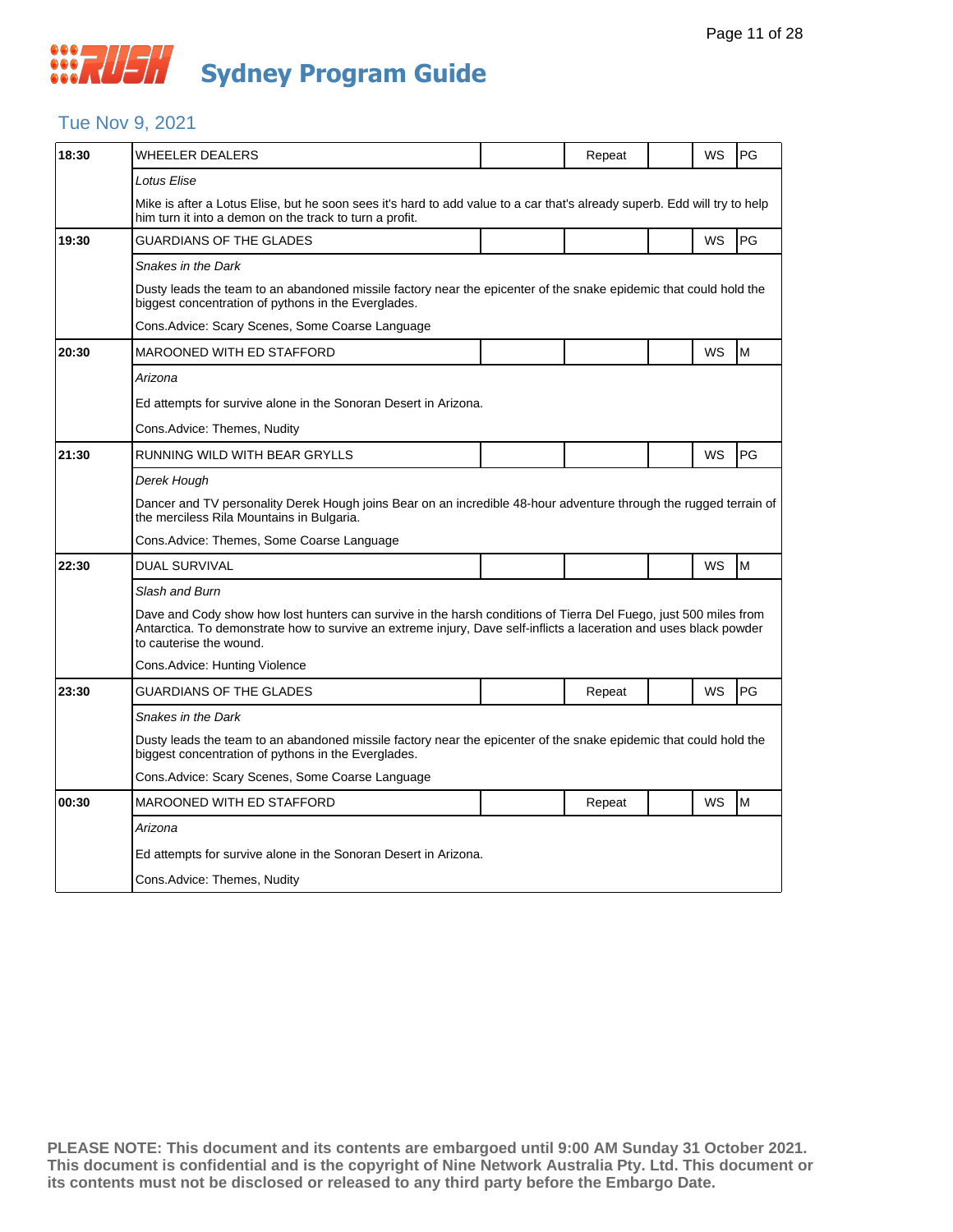### Tue Nov 9, 2021

| 18:30 | WHEELER DEALERS                                                                                                                                                                                                                                                   |  | Repeat |  | WS | PG |  |  |  |
|-------|-------------------------------------------------------------------------------------------------------------------------------------------------------------------------------------------------------------------------------------------------------------------|--|--------|--|----|----|--|--|--|
|       | Lotus Elise                                                                                                                                                                                                                                                       |  |        |  |    |    |  |  |  |
|       | Mike is after a Lotus Elise, but he soon sees it's hard to add value to a car that's already superb. Edd will try to help<br>him turn it into a demon on the track to turn a profit.                                                                              |  |        |  |    |    |  |  |  |
| 19:30 | <b>GUARDIANS OF THE GLADES</b>                                                                                                                                                                                                                                    |  |        |  | WS | PG |  |  |  |
|       | Snakes in the Dark                                                                                                                                                                                                                                                |  |        |  |    |    |  |  |  |
|       | Dusty leads the team to an abandoned missile factory near the epicenter of the snake epidemic that could hold the<br>biggest concentration of pythons in the Everglades.                                                                                          |  |        |  |    |    |  |  |  |
|       | Cons. Advice: Scary Scenes, Some Coarse Language                                                                                                                                                                                                                  |  |        |  |    |    |  |  |  |
| 20:30 | MAROONED WITH ED STAFFORD                                                                                                                                                                                                                                         |  |        |  | WS | M  |  |  |  |
|       | Arizona                                                                                                                                                                                                                                                           |  |        |  |    |    |  |  |  |
|       | Ed attempts for survive alone in the Sonoran Desert in Arizona.                                                                                                                                                                                                   |  |        |  |    |    |  |  |  |
|       | Cons. Advice: Themes, Nudity                                                                                                                                                                                                                                      |  |        |  |    |    |  |  |  |
| 21:30 | RUNNING WILD WITH BEAR GRYLLS                                                                                                                                                                                                                                     |  |        |  | WS | PG |  |  |  |
|       | Derek Hough                                                                                                                                                                                                                                                       |  |        |  |    |    |  |  |  |
|       | Dancer and TV personality Derek Hough joins Bear on an incredible 48-hour adventure through the rugged terrain of<br>the merciless Rila Mountains in Bulgaria.                                                                                                    |  |        |  |    |    |  |  |  |
|       | Cons. Advice: Themes, Some Coarse Language                                                                                                                                                                                                                        |  |        |  |    |    |  |  |  |
| 22:30 | <b>DUAL SURVIVAL</b>                                                                                                                                                                                                                                              |  |        |  | WS | M  |  |  |  |
|       | Slash and Burn                                                                                                                                                                                                                                                    |  |        |  |    |    |  |  |  |
|       | Dave and Cody show how lost hunters can survive in the harsh conditions of Tierra Del Fuego, just 500 miles from<br>Antarctica. To demonstrate how to survive an extreme injury, Dave self-inflicts a laceration and uses black powder<br>to cauterise the wound. |  |        |  |    |    |  |  |  |
|       | Cons.Advice: Hunting Violence                                                                                                                                                                                                                                     |  |        |  |    |    |  |  |  |
| 23:30 | GUARDIANS OF THE GLADES                                                                                                                                                                                                                                           |  | Repeat |  | WS | PG |  |  |  |
|       | Snakes in the Dark                                                                                                                                                                                                                                                |  |        |  |    |    |  |  |  |
|       | Dusty leads the team to an abandoned missile factory near the epicenter of the snake epidemic that could hold the<br>biggest concentration of pythons in the Everglades.                                                                                          |  |        |  |    |    |  |  |  |
|       | Cons. Advice: Scary Scenes, Some Coarse Language                                                                                                                                                                                                                  |  |        |  |    |    |  |  |  |
| 00:30 | <b>MAROONED WITH ED STAFFORD</b>                                                                                                                                                                                                                                  |  | Repeat |  | WS | M  |  |  |  |
|       | Arizona                                                                                                                                                                                                                                                           |  |        |  |    |    |  |  |  |
|       | Ed attempts for survive alone in the Sonoran Desert in Arizona.                                                                                                                                                                                                   |  |        |  |    |    |  |  |  |
|       | Cons. Advice: Themes, Nudity                                                                                                                                                                                                                                      |  |        |  |    |    |  |  |  |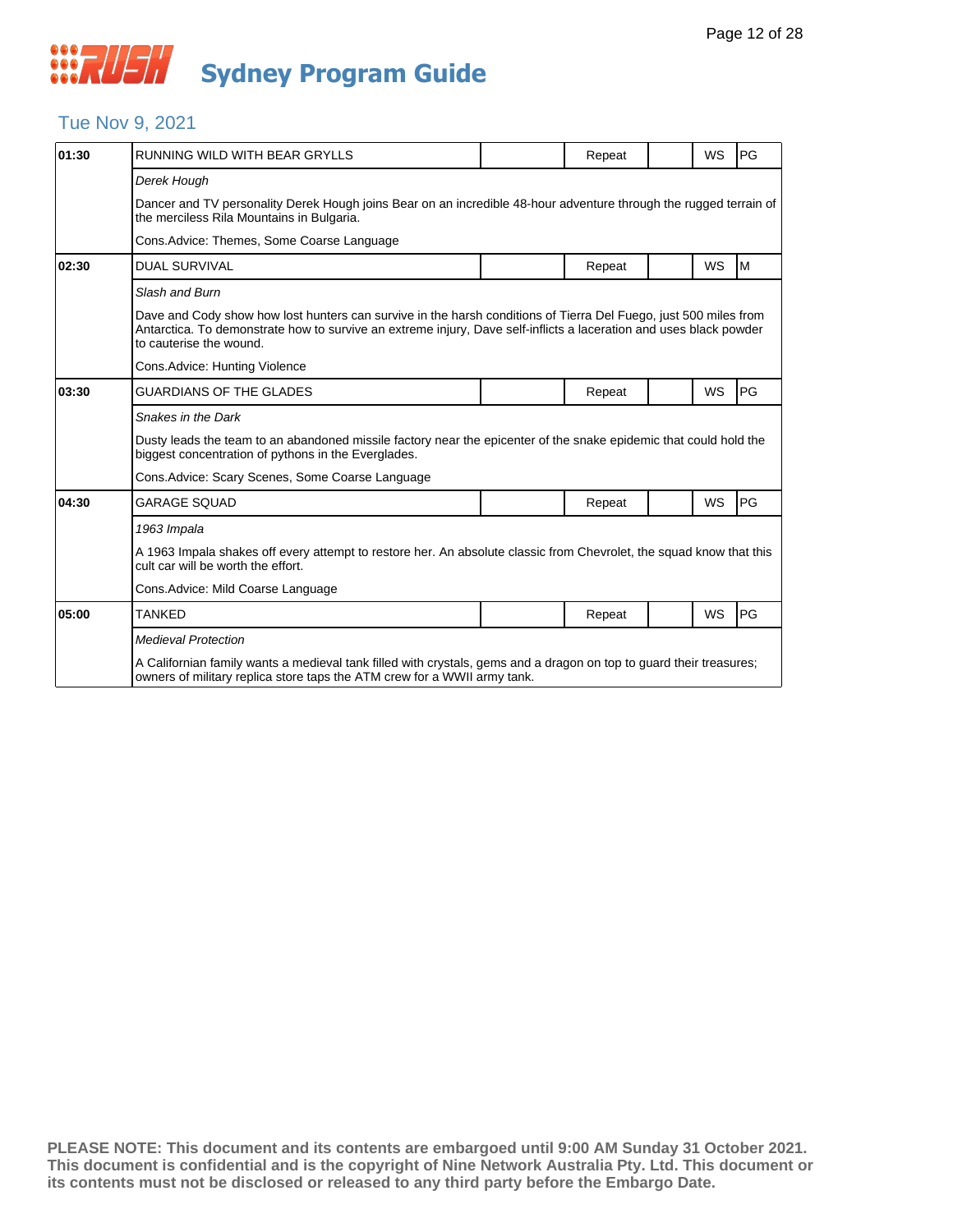

### Tue Nov 9, 2021

| 01:30 | RUNNING WILD WITH BEAR GRYLLS                                                                                                                                                                                                                                     |  | Repeat |  | <b>WS</b> | <b>PG</b> |  |  |  |
|-------|-------------------------------------------------------------------------------------------------------------------------------------------------------------------------------------------------------------------------------------------------------------------|--|--------|--|-----------|-----------|--|--|--|
|       | Derek Hough                                                                                                                                                                                                                                                       |  |        |  |           |           |  |  |  |
|       | Dancer and TV personality Derek Hough joins Bear on an incredible 48-hour adventure through the rugged terrain of<br>the merciless Rila Mountains in Bulgaria.                                                                                                    |  |        |  |           |           |  |  |  |
|       | Cons. Advice: Themes, Some Coarse Language                                                                                                                                                                                                                        |  |        |  |           |           |  |  |  |
| 02:30 | <b>DUAL SURVIVAL</b>                                                                                                                                                                                                                                              |  | Repeat |  | <b>WS</b> | Iм        |  |  |  |
|       | Slash and Burn                                                                                                                                                                                                                                                    |  |        |  |           |           |  |  |  |
|       | Dave and Cody show how lost hunters can survive in the harsh conditions of Tierra Del Fuego, just 500 miles from<br>Antarctica. To demonstrate how to survive an extreme injury, Dave self-inflicts a laceration and uses black powder<br>to cauterise the wound. |  |        |  |           |           |  |  |  |
|       | Cons.Advice: Hunting Violence                                                                                                                                                                                                                                     |  |        |  |           |           |  |  |  |
| 03:30 | <b>GUARDIANS OF THE GLADES</b>                                                                                                                                                                                                                                    |  | Repeat |  | <b>WS</b> | PG        |  |  |  |
|       | Snakes in the Dark                                                                                                                                                                                                                                                |  |        |  |           |           |  |  |  |
|       | Dusty leads the team to an abandoned missile factory near the epicenter of the snake epidemic that could hold the<br>biggest concentration of pythons in the Everglades.                                                                                          |  |        |  |           |           |  |  |  |
|       | Cons. Advice: Scary Scenes, Some Coarse Language                                                                                                                                                                                                                  |  |        |  |           |           |  |  |  |
| 04:30 | <b>GARAGE SOUAD</b>                                                                                                                                                                                                                                               |  | Repeat |  | <b>WS</b> | PG        |  |  |  |
|       | 1963 Impala                                                                                                                                                                                                                                                       |  |        |  |           |           |  |  |  |
|       | A 1963 Impala shakes off every attempt to restore her. An absolute classic from Chevrolet, the squad know that this<br>cult car will be worth the effort.                                                                                                         |  |        |  |           |           |  |  |  |
|       | Cons. Advice: Mild Coarse Language                                                                                                                                                                                                                                |  |        |  |           |           |  |  |  |
| 05:00 | <b>TANKED</b>                                                                                                                                                                                                                                                     |  | Repeat |  | WS        | PG        |  |  |  |
|       | <b>Medieval Protection</b>                                                                                                                                                                                                                                        |  |        |  |           |           |  |  |  |
|       | A Californian family wants a medieval tank filled with crystals, gems and a dragon on top to quard their treasures;<br>owners of military replica store taps the ATM crew for a WWII army tank.                                                                   |  |        |  |           |           |  |  |  |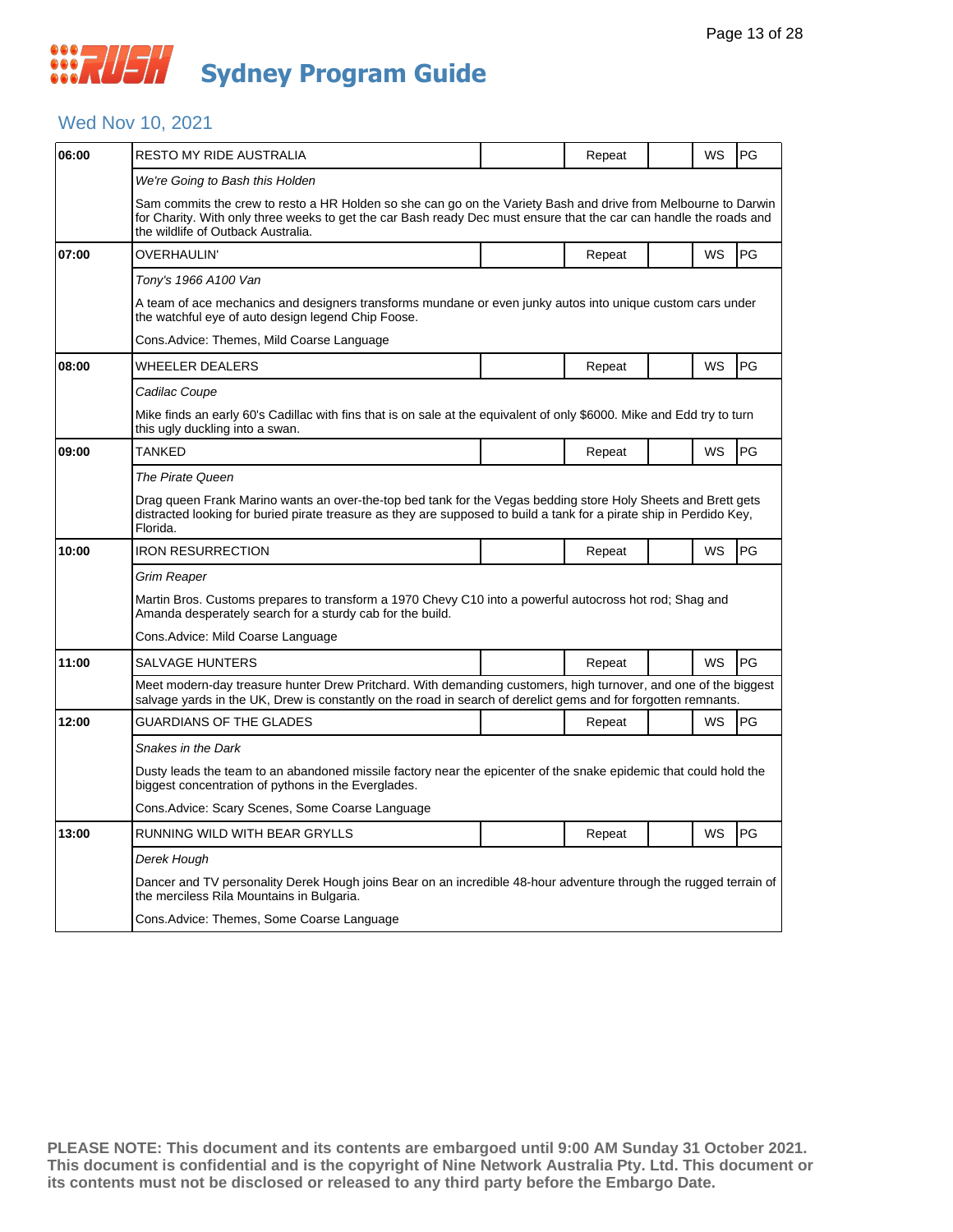## *CONSTRUCT* **Sydney Program Guide**

#### Wed Nov 10, 2021

| 06:00 | RESTO MY RIDE AUSTRALIA                                                                                                                                                                                                                                                    |  | Repeat |  | WS        | PG |  |  |
|-------|----------------------------------------------------------------------------------------------------------------------------------------------------------------------------------------------------------------------------------------------------------------------------|--|--------|--|-----------|----|--|--|
|       | We're Going to Bash this Holden                                                                                                                                                                                                                                            |  |        |  |           |    |  |  |
|       | Sam commits the crew to resto a HR Holden so she can go on the Variety Bash and drive from Melbourne to Darwin<br>for Charity. With only three weeks to get the car Bash ready Dec must ensure that the car can handle the roads and<br>the wildlife of Outback Australia. |  |        |  |           |    |  |  |
| 07:00 | <b>OVERHAULIN'</b>                                                                                                                                                                                                                                                         |  | Repeat |  | <b>WS</b> | PG |  |  |
|       | Tony's 1966 A100 Van                                                                                                                                                                                                                                                       |  |        |  |           |    |  |  |
|       | A team of ace mechanics and designers transforms mundane or even junky autos into unique custom cars under<br>the watchful eye of auto design legend Chip Foose.                                                                                                           |  |        |  |           |    |  |  |
|       | Cons.Advice: Themes, Mild Coarse Language                                                                                                                                                                                                                                  |  |        |  |           |    |  |  |
| 08:00 | WHEELER DEALERS                                                                                                                                                                                                                                                            |  | Repeat |  | WS        | PG |  |  |
|       | Cadilac Coupe                                                                                                                                                                                                                                                              |  |        |  |           |    |  |  |
|       | Mike finds an early 60's Cadillac with fins that is on sale at the equivalent of only \$6000. Mike and Edd try to turn<br>this ugly duckling into a swan.                                                                                                                  |  |        |  |           |    |  |  |
| 09:00 | TANKED                                                                                                                                                                                                                                                                     |  | Repeat |  | WS        | PG |  |  |
|       | The Pirate Queen                                                                                                                                                                                                                                                           |  |        |  |           |    |  |  |
|       | Drag queen Frank Marino wants an over-the-top bed tank for the Vegas bedding store Holy Sheets and Brett gets<br>distracted looking for buried pirate treasure as they are supposed to build a tank for a pirate ship in Perdido Key,<br>Florida.                          |  |        |  |           |    |  |  |
| 10:00 | <b>IRON RESURRECTION</b>                                                                                                                                                                                                                                                   |  | Repeat |  | WS        | PG |  |  |
|       | Grim Reaper                                                                                                                                                                                                                                                                |  |        |  |           |    |  |  |
|       | Martin Bros. Customs prepares to transform a 1970 Chevy C10 into a powerful autocross hot rod; Shag and<br>Amanda desperately search for a sturdy cab for the build.                                                                                                       |  |        |  |           |    |  |  |
|       | Cons.Advice: Mild Coarse Language                                                                                                                                                                                                                                          |  |        |  |           |    |  |  |
| 11:00 | SALVAGE HUNTERS                                                                                                                                                                                                                                                            |  | Repeat |  | WS        | PG |  |  |
|       | Meet modern-day treasure hunter Drew Pritchard. With demanding customers, high turnover, and one of the biggest<br>salvage yards in the UK, Drew is constantly on the road in search of derelict gems and for forgotten remnants.                                          |  |        |  |           |    |  |  |
| 12:00 | <b>GUARDIANS OF THE GLADES</b>                                                                                                                                                                                                                                             |  | Repeat |  | <b>WS</b> | PG |  |  |
|       | Snakes in the Dark                                                                                                                                                                                                                                                         |  |        |  |           |    |  |  |
|       | Dusty leads the team to an abandoned missile factory near the epicenter of the snake epidemic that could hold the<br>biggest concentration of pythons in the Everglades.                                                                                                   |  |        |  |           |    |  |  |
|       | Cons. Advice: Scary Scenes, Some Coarse Language                                                                                                                                                                                                                           |  |        |  |           |    |  |  |
| 13:00 | RUNNING WILD WITH BEAR GRYLLS                                                                                                                                                                                                                                              |  | Repeat |  | WS        | PG |  |  |
|       | Derek Hough                                                                                                                                                                                                                                                                |  |        |  |           |    |  |  |
|       | Dancer and TV personality Derek Hough joins Bear on an incredible 48-hour adventure through the rugged terrain of<br>the merciless Rila Mountains in Bulgaria.                                                                                                             |  |        |  |           |    |  |  |
|       | Cons. Advice: Themes, Some Coarse Language                                                                                                                                                                                                                                 |  |        |  |           |    |  |  |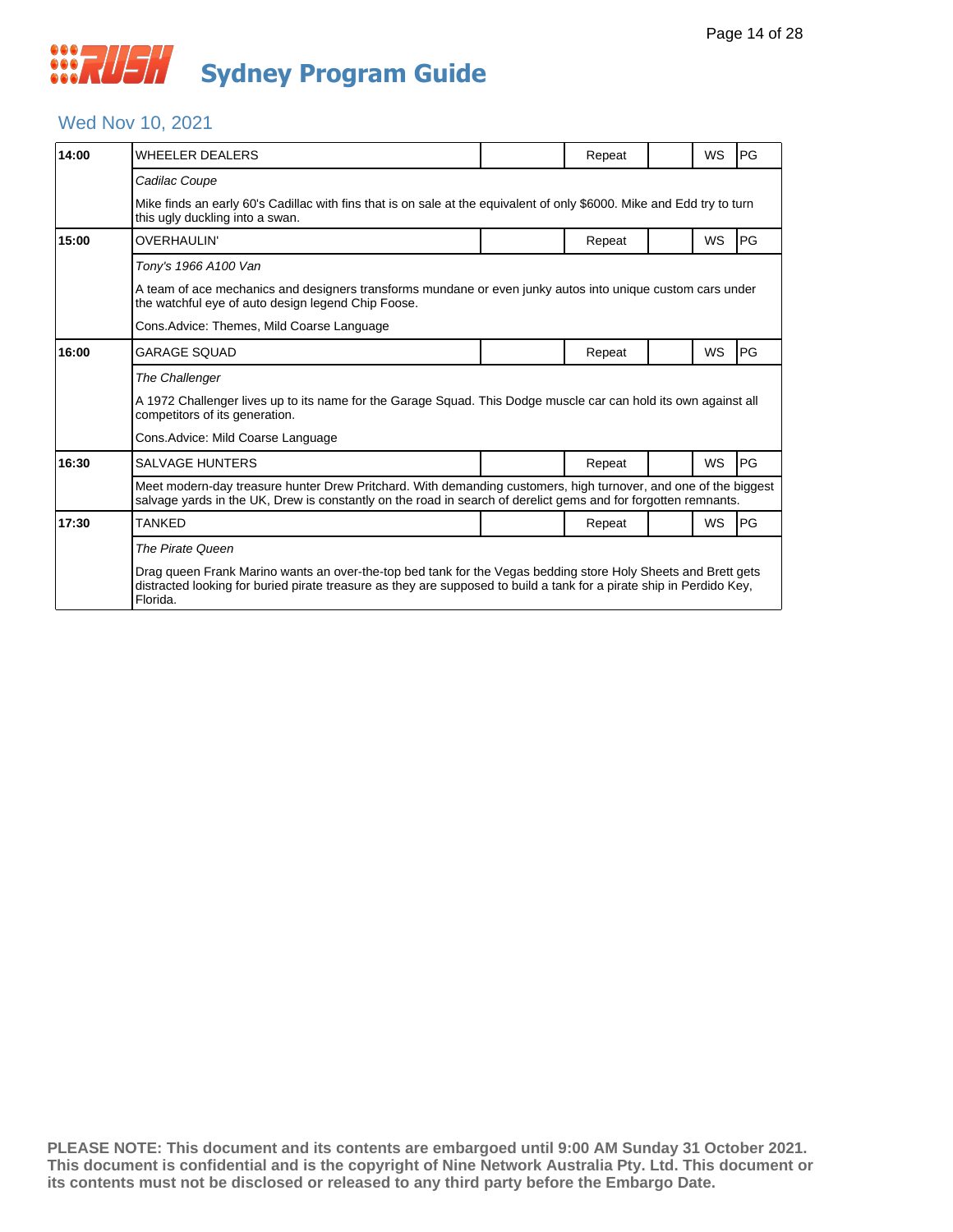### Wed Nov 10, 2021

| 14:00 | <b>WHEELER DEALERS</b>                                                                                                                                                                                                                            |  | Repeat |  | <b>WS</b> | <b>IPG</b> |  |  |
|-------|---------------------------------------------------------------------------------------------------------------------------------------------------------------------------------------------------------------------------------------------------|--|--------|--|-----------|------------|--|--|
|       | Cadilac Coupe                                                                                                                                                                                                                                     |  |        |  |           |            |  |  |
|       | Mike finds an early 60's Cadillac with fins that is on sale at the equivalent of only \$6000. Mike and Edd try to turn<br>this ugly duckling into a swan.                                                                                         |  |        |  |           |            |  |  |
| 15:00 | OVERHAULIN'                                                                                                                                                                                                                                       |  | Repeat |  | <b>WS</b> | <b>PG</b>  |  |  |
|       | Tony's 1966 A100 Van                                                                                                                                                                                                                              |  |        |  |           |            |  |  |
|       | A team of ace mechanics and designers transforms mundane or even junky autos into unique custom cars under<br>the watchful eye of auto design legend Chip Foose.                                                                                  |  |        |  |           |            |  |  |
|       | Cons.Advice: Themes, Mild Coarse Language                                                                                                                                                                                                         |  |        |  |           |            |  |  |
| 16:00 | GARAGE SOUAD                                                                                                                                                                                                                                      |  | Repeat |  | WS        | <b>IPG</b> |  |  |
|       | The Challenger                                                                                                                                                                                                                                    |  |        |  |           |            |  |  |
|       | A 1972 Challenger lives up to its name for the Garage Squad. This Dodge muscle car can hold its own against all<br>competitors of its generation.                                                                                                 |  |        |  |           |            |  |  |
|       | Cons.Advice: Mild Coarse Language                                                                                                                                                                                                                 |  |        |  |           |            |  |  |
| 16:30 | SALVAGE HUNTERS                                                                                                                                                                                                                                   |  | Repeat |  | <b>WS</b> | <b>PG</b>  |  |  |
|       | Meet modern-day treasure hunter Drew Pritchard. With demanding customers, high turnover, and one of the biggest<br>salvage yards in the UK, Drew is constantly on the road in search of derelict gems and for forgotten remnants.                 |  |        |  |           |            |  |  |
| 17:30 | TANKFD                                                                                                                                                                                                                                            |  | Repeat |  | <b>WS</b> | <b>PG</b>  |  |  |
|       | The Pirate Queen                                                                                                                                                                                                                                  |  |        |  |           |            |  |  |
|       | Drag queen Frank Marino wants an over-the-top bed tank for the Vegas bedding store Holy Sheets and Brett gets<br>distracted looking for buried pirate treasure as they are supposed to build a tank for a pirate ship in Perdido Key,<br>Florida. |  |        |  |           |            |  |  |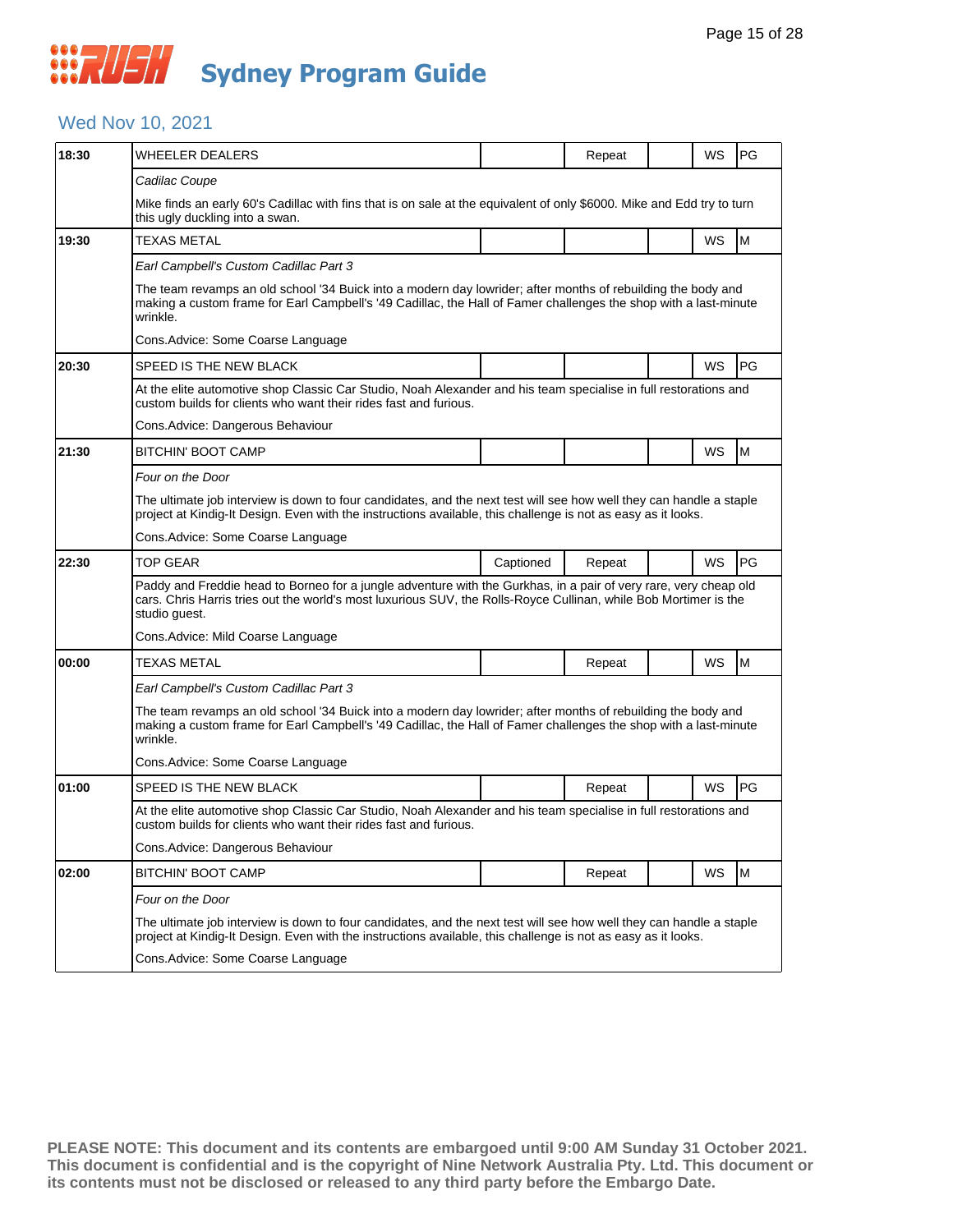### *CONSTRUSH* **Sydney Program Guide**

### Wed Nov 10, 2021

| 18:30 | <b>WHEELER DEALERS</b>                                                                                                                                                                                                                                |           | Repeat |  | WS        | PG        |  |  |
|-------|-------------------------------------------------------------------------------------------------------------------------------------------------------------------------------------------------------------------------------------------------------|-----------|--------|--|-----------|-----------|--|--|
|       | Cadilac Coupe                                                                                                                                                                                                                                         |           |        |  |           |           |  |  |
|       | Mike finds an early 60's Cadillac with fins that is on sale at the equivalent of only \$6000. Mike and Edd try to turn<br>this ugly duckling into a swan.                                                                                             |           |        |  |           |           |  |  |
| 19:30 | <b>TEXAS METAL</b>                                                                                                                                                                                                                                    |           |        |  | WS        | M         |  |  |
|       | Earl Campbell's Custom Cadillac Part 3                                                                                                                                                                                                                |           |        |  |           |           |  |  |
|       | The team revamps an old school '34 Buick into a modern day lowrider; after months of rebuilding the body and<br>making a custom frame for Earl Campbell's '49 Cadillac, the Hall of Famer challenges the shop with a last-minute<br>wrinkle.          |           |        |  |           |           |  |  |
|       | Cons.Advice: Some Coarse Language                                                                                                                                                                                                                     |           |        |  |           |           |  |  |
| 20:30 | SPEED IS THE NEW BLACK                                                                                                                                                                                                                                |           |        |  | WS        | PG        |  |  |
|       | At the elite automotive shop Classic Car Studio, Noah Alexander and his team specialise in full restorations and<br>custom builds for clients who want their rides fast and furious.                                                                  |           |        |  |           |           |  |  |
|       | Cons. Advice: Dangerous Behaviour                                                                                                                                                                                                                     |           |        |  |           |           |  |  |
| 21:30 | BITCHIN' BOOT CAMP                                                                                                                                                                                                                                    |           |        |  | <b>WS</b> | M         |  |  |
|       | Four on the Door                                                                                                                                                                                                                                      |           |        |  |           |           |  |  |
|       | The ultimate job interview is down to four candidates, and the next test will see how well they can handle a staple<br>project at Kindig-It Design. Even with the instructions available, this challenge is not as easy as it looks.                  |           |        |  |           |           |  |  |
|       | Cons.Advice: Some Coarse Language                                                                                                                                                                                                                     |           |        |  |           |           |  |  |
| 22:30 | <b>TOP GEAR</b>                                                                                                                                                                                                                                       | Captioned | Repeat |  | WS        | <b>PG</b> |  |  |
|       | Paddy and Freddie head to Borneo for a jungle adventure with the Gurkhas, in a pair of very rare, very cheap old<br>cars. Chris Harris tries out the world's most luxurious SUV, the Rolls-Royce Cullinan, while Bob Mortimer is the<br>studio guest. |           |        |  |           |           |  |  |
|       | Cons.Advice: Mild Coarse Language                                                                                                                                                                                                                     |           |        |  |           |           |  |  |
| 00:00 | TEXAS METAL                                                                                                                                                                                                                                           |           | Repeat |  | WS        | M         |  |  |
|       | Earl Campbell's Custom Cadillac Part 3                                                                                                                                                                                                                |           |        |  |           |           |  |  |
|       | The team revamps an old school '34 Buick into a modern day lowrider; after months of rebuilding the body and<br>making a custom frame for Earl Campbell's '49 Cadillac, the Hall of Famer challenges the shop with a last-minute<br>wrinkle.          |           |        |  |           |           |  |  |
|       | Cons.Advice: Some Coarse Language                                                                                                                                                                                                                     |           |        |  |           |           |  |  |
| 01:00 | SPEED IS THE NEW BLACK                                                                                                                                                                                                                                |           | Repeat |  | WS        | PG        |  |  |
|       | At the elite automotive shop Classic Car Studio, Noah Alexander and his team specialise in full restorations and<br>custom builds for clients who want their rides fast and furious.                                                                  |           |        |  |           |           |  |  |
|       | Cons. Advice: Dangerous Behaviour                                                                                                                                                                                                                     |           |        |  |           |           |  |  |
| 02:00 | <b>BITCHIN' BOOT CAMP</b>                                                                                                                                                                                                                             |           | Repeat |  | <b>WS</b> | M         |  |  |
|       | Four on the Door                                                                                                                                                                                                                                      |           |        |  |           |           |  |  |
|       | The ultimate job interview is down to four candidates, and the next test will see how well they can handle a staple<br>project at Kindig-It Design. Even with the instructions available, this challenge is not as easy as it looks.                  |           |        |  |           |           |  |  |
|       | Cons.Advice: Some Coarse Language                                                                                                                                                                                                                     |           |        |  |           |           |  |  |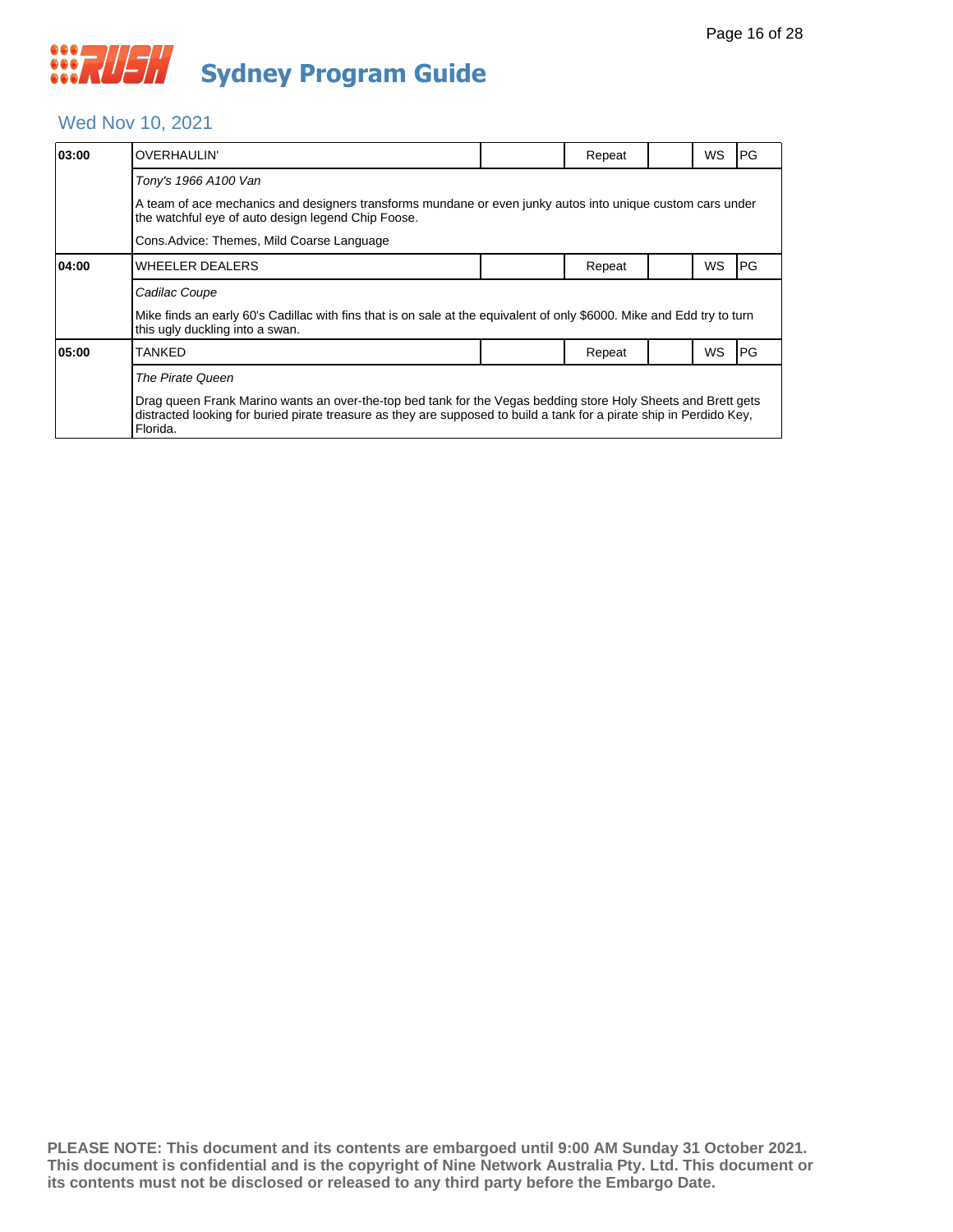### Wed Nov 10, 2021

| 03:00 | <b>OVERHAULIN'</b>                                                                                                                                                                                                                                |  | Repeat |  | WS | PG |  |  |  |
|-------|---------------------------------------------------------------------------------------------------------------------------------------------------------------------------------------------------------------------------------------------------|--|--------|--|----|----|--|--|--|
|       | Tony's 1966 A100 Van                                                                                                                                                                                                                              |  |        |  |    |    |  |  |  |
|       | A team of ace mechanics and designers transforms mundane or even junky autos into unique custom cars under<br>the watchful eye of auto design legend Chip Foose.                                                                                  |  |        |  |    |    |  |  |  |
|       | Cons.Advice: Themes, Mild Coarse Language                                                                                                                                                                                                         |  |        |  |    |    |  |  |  |
| 04:00 | <b>WHEELER DEALERS</b>                                                                                                                                                                                                                            |  | Repeat |  | WS | PG |  |  |  |
|       | Cadilac Coupe                                                                                                                                                                                                                                     |  |        |  |    |    |  |  |  |
|       | Mike finds an early 60's Cadillac with fins that is on sale at the equivalent of only \$6000. Mike and Edd try to turn<br>this ugly duckling into a swan.                                                                                         |  |        |  |    |    |  |  |  |
| 05:00 | <b>TANKED</b>                                                                                                                                                                                                                                     |  | Repeat |  | WS | PG |  |  |  |
|       | The Pirate Queen                                                                                                                                                                                                                                  |  |        |  |    |    |  |  |  |
|       | Drag gueen Frank Marino wants an over-the-top bed tank for the Vegas bedding store Holy Sheets and Brett gets<br>distracted looking for buried pirate treasure as they are supposed to build a tank for a pirate ship in Perdido Key,<br>Florida. |  |        |  |    |    |  |  |  |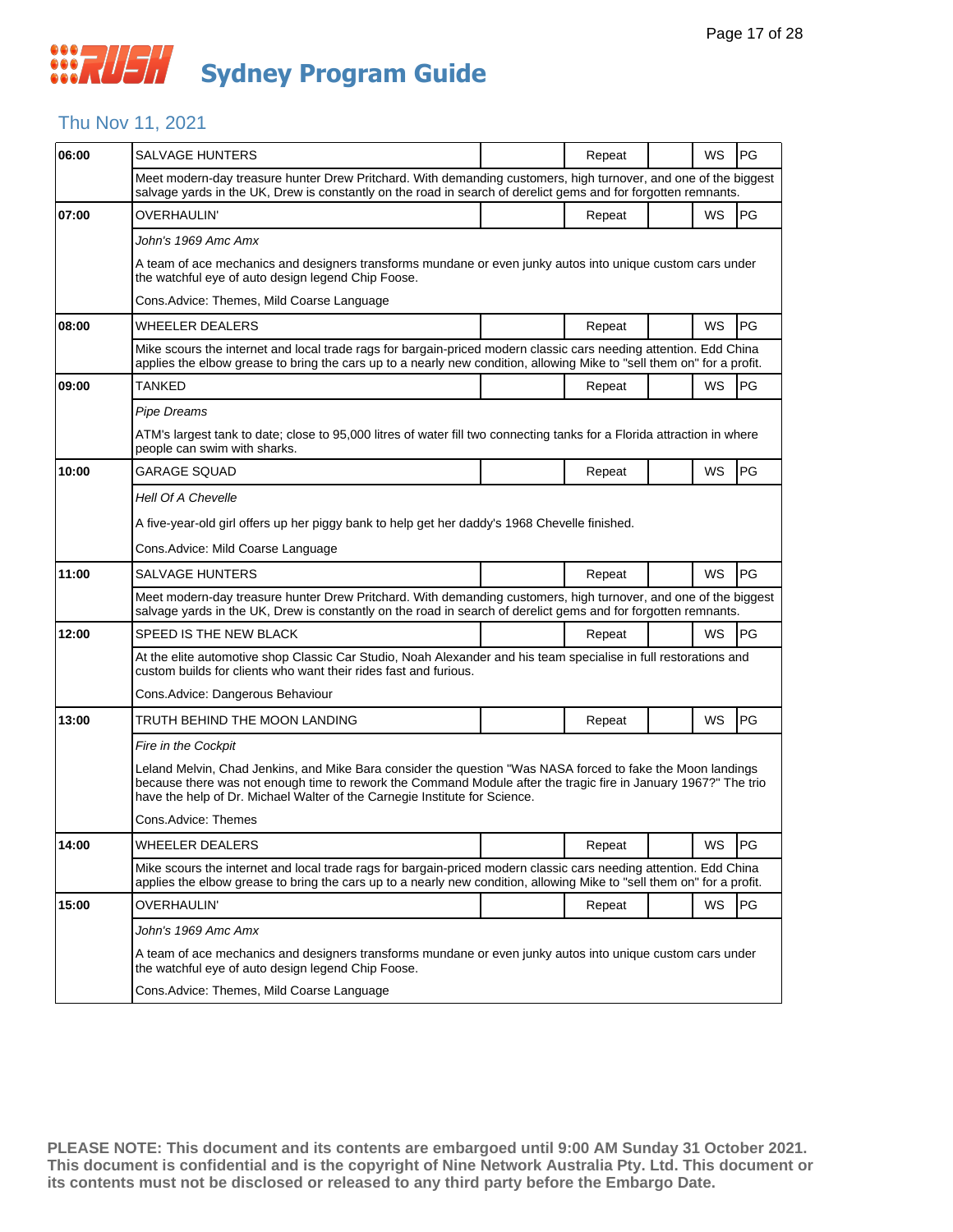### Thu Nov 11, 2021

| 06:00 | <b>SALVAGE HUNTERS</b>                                                                                                                                                                                                                                                                                       |  | Repeat |  | WS        | <b>PG</b> |  |  |
|-------|--------------------------------------------------------------------------------------------------------------------------------------------------------------------------------------------------------------------------------------------------------------------------------------------------------------|--|--------|--|-----------|-----------|--|--|
|       | Meet modern-day treasure hunter Drew Pritchard. With demanding customers, high turnover, and one of the biggest<br>salvage yards in the UK, Drew is constantly on the road in search of derelict gems and for forgotten remnants.                                                                            |  |        |  |           |           |  |  |
| 07:00 | OVERHAULIN'                                                                                                                                                                                                                                                                                                  |  | Repeat |  | <b>WS</b> | PG        |  |  |
|       | John's 1969 Amc Amx                                                                                                                                                                                                                                                                                          |  |        |  |           |           |  |  |
|       | A team of ace mechanics and designers transforms mundane or even junky autos into unique custom cars under<br>the watchful eye of auto design legend Chip Foose.                                                                                                                                             |  |        |  |           |           |  |  |
|       | Cons. Advice: Themes, Mild Coarse Language                                                                                                                                                                                                                                                                   |  |        |  |           |           |  |  |
| 08:00 | <b>WHEELER DEALERS</b>                                                                                                                                                                                                                                                                                       |  | Repeat |  | <b>WS</b> | <b>PG</b> |  |  |
|       | Mike scours the internet and local trade rags for bargain-priced modern classic cars needing attention. Edd China<br>applies the elbow grease to bring the cars up to a nearly new condition, allowing Mike to "sell them on" for a profit.                                                                  |  |        |  |           |           |  |  |
| 09:00 | TANKED                                                                                                                                                                                                                                                                                                       |  | Repeat |  | WS        | <b>PG</b> |  |  |
|       | Pipe Dreams                                                                                                                                                                                                                                                                                                  |  |        |  |           |           |  |  |
|       | ATM's largest tank to date; close to 95,000 litres of water fill two connecting tanks for a Florida attraction in where<br>people can swim with sharks.                                                                                                                                                      |  |        |  |           |           |  |  |
| 10:00 | GARAGE SQUAD                                                                                                                                                                                                                                                                                                 |  | Repeat |  | WS        | PG        |  |  |
|       | <b>Hell Of A Chevelle</b>                                                                                                                                                                                                                                                                                    |  |        |  |           |           |  |  |
|       | A five-year-old girl offers up her piggy bank to help get her daddy's 1968 Chevelle finished.                                                                                                                                                                                                                |  |        |  |           |           |  |  |
|       | Cons. Advice: Mild Coarse Language                                                                                                                                                                                                                                                                           |  |        |  |           |           |  |  |
| 11:00 | <b>SALVAGE HUNTERS</b>                                                                                                                                                                                                                                                                                       |  | Repeat |  | <b>WS</b> | <b>PG</b> |  |  |
|       | Meet modern-day treasure hunter Drew Pritchard. With demanding customers, high turnover, and one of the biggest<br>salvage yards in the UK, Drew is constantly on the road in search of derelict gems and for forgotten remnants.                                                                            |  |        |  |           |           |  |  |
| 12:00 | SPEED IS THE NEW BLACK                                                                                                                                                                                                                                                                                       |  | Repeat |  | WS        | l PG      |  |  |
|       | At the elite automotive shop Classic Car Studio, Noah Alexander and his team specialise in full restorations and<br>custom builds for clients who want their rides fast and furious.                                                                                                                         |  |        |  |           |           |  |  |
|       | Cons. Advice: Dangerous Behaviour                                                                                                                                                                                                                                                                            |  |        |  |           |           |  |  |
| 13:00 | TRUTH BEHIND THE MOON LANDING                                                                                                                                                                                                                                                                                |  | Repeat |  | WS        | <b>PG</b> |  |  |
|       | Fire in the Cockpit                                                                                                                                                                                                                                                                                          |  |        |  |           |           |  |  |
|       | Leland Melvin, Chad Jenkins, and Mike Bara consider the question "Was NASA forced to fake the Moon landings<br>because there was not enough time to rework the Command Module after the tragic fire in January 1967?" The trio<br>have the help of Dr. Michael Walter of the Carnegie Institute for Science. |  |        |  |           |           |  |  |
|       | Cons.Advice: Themes                                                                                                                                                                                                                                                                                          |  |        |  |           |           |  |  |
| 14:00 | WHEELER DEALERS                                                                                                                                                                                                                                                                                              |  | Repeat |  | WS        | PG        |  |  |
|       | Mike scours the internet and local trade rags for bargain-priced modern classic cars needing attention. Edd China<br>applies the elbow grease to bring the cars up to a nearly new condition, allowing Mike to "sell them on" for a profit.                                                                  |  |        |  |           |           |  |  |
| 15:00 | OVERHAULIN'                                                                                                                                                                                                                                                                                                  |  | Repeat |  | WS        | PG        |  |  |
|       | John's 1969 Amc Amx                                                                                                                                                                                                                                                                                          |  |        |  |           |           |  |  |
|       | A team of ace mechanics and designers transforms mundane or even junky autos into unique custom cars under<br>the watchful eye of auto design legend Chip Foose.                                                                                                                                             |  |        |  |           |           |  |  |
|       | Cons.Advice: Themes, Mild Coarse Language                                                                                                                                                                                                                                                                    |  |        |  |           |           |  |  |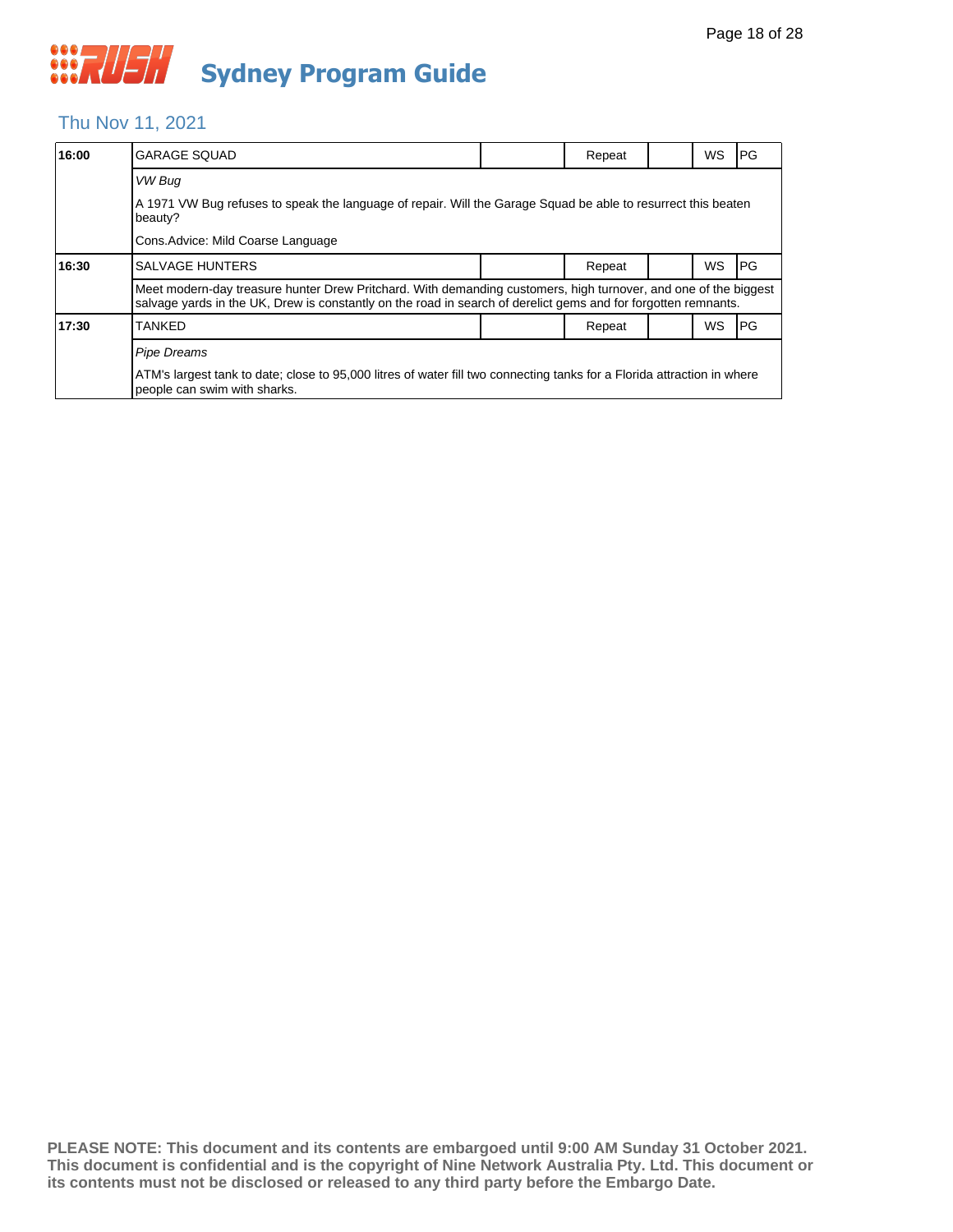#### Thu Nov 11, 2021

| 16:00 | <b>GARAGE SQUAD</b>                                                                                                                                                                                                               |  | Repeat |  | WS | PG |  |  |
|-------|-----------------------------------------------------------------------------------------------------------------------------------------------------------------------------------------------------------------------------------|--|--------|--|----|----|--|--|
|       | VW Bug                                                                                                                                                                                                                            |  |        |  |    |    |  |  |
|       | A 1971 VW Bug refuses to speak the language of repair. Will the Garage Squad be able to resurrect this beaten<br>beauty?                                                                                                          |  |        |  |    |    |  |  |
|       | Cons. Advice: Mild Coarse Language                                                                                                                                                                                                |  |        |  |    |    |  |  |
| 16:30 | ISALVAGE HUNTERS                                                                                                                                                                                                                  |  | Repeat |  | WS | PG |  |  |
|       | Meet modern-day treasure hunter Drew Pritchard. With demanding customers, high turnover, and one of the biggest<br>salvage yards in the UK, Drew is constantly on the road in search of derelict gems and for forgotten remnants. |  |        |  |    |    |  |  |
| 17:30 | <b>TANKED</b>                                                                                                                                                                                                                     |  | Repeat |  | WS | PG |  |  |
|       | <b>Pipe Dreams</b>                                                                                                                                                                                                                |  |        |  |    |    |  |  |
|       | ATM's largest tank to date; close to 95,000 litres of water fill two connecting tanks for a Florida attraction in where<br>people can swim with sharks.                                                                           |  |        |  |    |    |  |  |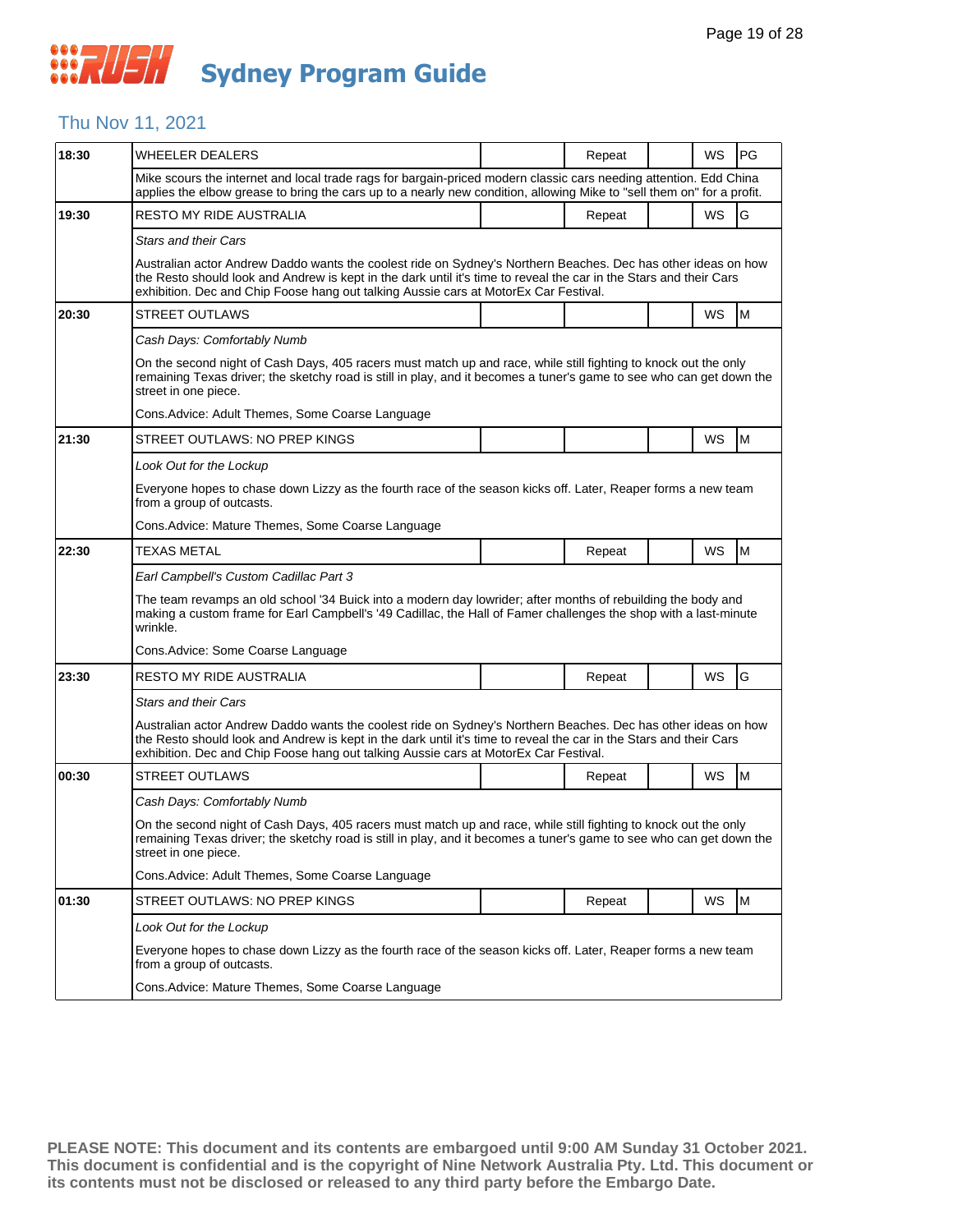## *CONSTRUSH* **Sydney Program Guide**

### Thu Nov 11, 2021

| 18:30 | <b>WHEELER DEALERS</b>                                                                                                                                                                                                                                                                                                      |  | Repeat |  | WS | PG |  |  |  |
|-------|-----------------------------------------------------------------------------------------------------------------------------------------------------------------------------------------------------------------------------------------------------------------------------------------------------------------------------|--|--------|--|----|----|--|--|--|
|       | Mike scours the internet and local trade rags for bargain-priced modern classic cars needing attention. Edd China<br>applies the elbow grease to bring the cars up to a nearly new condition, allowing Mike to "sell them on" for a profit.                                                                                 |  |        |  |    |    |  |  |  |
| 19:30 | RESTO MY RIDE AUSTRALIA                                                                                                                                                                                                                                                                                                     |  | Repeat |  | WS | G  |  |  |  |
|       | Stars and their Cars                                                                                                                                                                                                                                                                                                        |  |        |  |    |    |  |  |  |
|       | Australian actor Andrew Daddo wants the coolest ride on Sydney's Northern Beaches. Dec has other ideas on how<br>the Resto should look and Andrew is kept in the dark until it's time to reveal the car in the Stars and their Cars<br>exhibition. Dec and Chip Foose hang out talking Aussie cars at MotorEx Car Festival. |  |        |  |    |    |  |  |  |
| 20:30 | <b>STREET OUTLAWS</b>                                                                                                                                                                                                                                                                                                       |  |        |  | WS | M  |  |  |  |
|       | Cash Days: Comfortably Numb                                                                                                                                                                                                                                                                                                 |  |        |  |    |    |  |  |  |
|       | On the second night of Cash Days, 405 racers must match up and race, while still fighting to knock out the only<br>remaining Texas driver; the sketchy road is still in play, and it becomes a tuner's game to see who can get down the<br>street in one piece.                                                             |  |        |  |    |    |  |  |  |
|       | Cons. Advice: Adult Themes, Some Coarse Language                                                                                                                                                                                                                                                                            |  |        |  |    |    |  |  |  |
| 21:30 | STREET OUTLAWS: NO PREP KINGS                                                                                                                                                                                                                                                                                               |  |        |  | WS | M  |  |  |  |
|       | Look Out for the Lockup                                                                                                                                                                                                                                                                                                     |  |        |  |    |    |  |  |  |
|       | Everyone hopes to chase down Lizzy as the fourth race of the season kicks off. Later, Reaper forms a new team<br>from a group of outcasts.                                                                                                                                                                                  |  |        |  |    |    |  |  |  |
|       | Cons. Advice: Mature Themes, Some Coarse Language                                                                                                                                                                                                                                                                           |  |        |  |    |    |  |  |  |
| 22:30 | TEXAS METAL                                                                                                                                                                                                                                                                                                                 |  | Repeat |  | WS | M  |  |  |  |
|       | Earl Campbell's Custom Cadillac Part 3                                                                                                                                                                                                                                                                                      |  |        |  |    |    |  |  |  |
|       | The team revamps an old school '34 Buick into a modern day lowrider; after months of rebuilding the body and<br>making a custom frame for Earl Campbell's '49 Cadillac, the Hall of Famer challenges the shop with a last-minute<br>wrinkle.                                                                                |  |        |  |    |    |  |  |  |
|       | Cons. Advice: Some Coarse Language                                                                                                                                                                                                                                                                                          |  |        |  |    |    |  |  |  |
| 23:30 | <b>RESTO MY RIDE AUSTRALIA</b>                                                                                                                                                                                                                                                                                              |  | Repeat |  | WS | G  |  |  |  |
|       | <b>Stars and their Cars</b>                                                                                                                                                                                                                                                                                                 |  |        |  |    |    |  |  |  |
|       | Australian actor Andrew Daddo wants the coolest ride on Sydney's Northern Beaches. Dec has other ideas on how<br>the Resto should look and Andrew is kept in the dark until it's time to reveal the car in the Stars and their Cars<br>exhibition. Dec and Chip Foose hang out talking Aussie cars at MotorEx Car Festival. |  |        |  |    |    |  |  |  |
| 00:30 | <b>STREET OUTLAWS</b>                                                                                                                                                                                                                                                                                                       |  | Repeat |  | WS | M  |  |  |  |
|       | Cash Days: Comfortably Numb                                                                                                                                                                                                                                                                                                 |  |        |  |    |    |  |  |  |
|       | On the second night of Cash Days, 405 racers must match up and race, while still fighting to knock out the only<br>remaining Texas driver; the sketchy road is still in play, and it becomes a tuner's game to see who can get down the<br>street in one piece.                                                             |  |        |  |    |    |  |  |  |
|       | Cons. Advice: Adult Themes, Some Coarse Language                                                                                                                                                                                                                                                                            |  |        |  |    |    |  |  |  |
| 01:30 | STREET OUTLAWS: NO PREP KINGS                                                                                                                                                                                                                                                                                               |  | Repeat |  | WS | M  |  |  |  |
|       | Look Out for the Lockup                                                                                                                                                                                                                                                                                                     |  |        |  |    |    |  |  |  |
|       | Everyone hopes to chase down Lizzy as the fourth race of the season kicks off. Later, Reaper forms a new team<br>from a group of outcasts.                                                                                                                                                                                  |  |        |  |    |    |  |  |  |
|       | Cons. Advice: Mature Themes, Some Coarse Language                                                                                                                                                                                                                                                                           |  |        |  |    |    |  |  |  |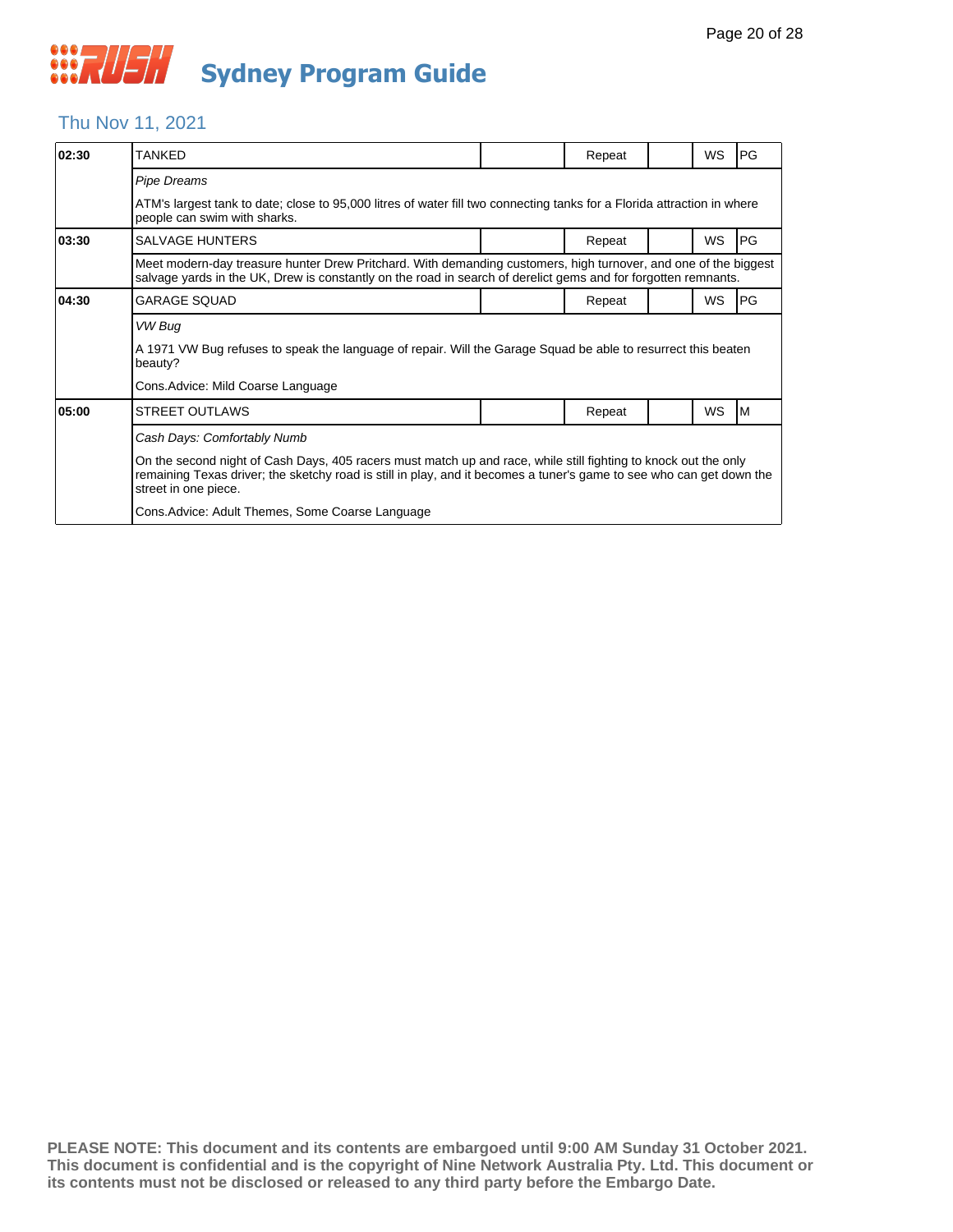### Thu Nov 11, 2021

| 02:30 | TANKFD                                                                                                                                                                                                                                                          |  | Repeat |  | WS | PG |  |  |  |
|-------|-----------------------------------------------------------------------------------------------------------------------------------------------------------------------------------------------------------------------------------------------------------------|--|--------|--|----|----|--|--|--|
|       | <b>Pipe Dreams</b>                                                                                                                                                                                                                                              |  |        |  |    |    |  |  |  |
|       | ATM's largest tank to date; close to 95,000 litres of water fill two connecting tanks for a Florida attraction in where<br>people can swim with sharks.                                                                                                         |  |        |  |    |    |  |  |  |
| 03:30 | <b>SALVAGE HUNTERS</b>                                                                                                                                                                                                                                          |  | Repeat |  | WS | PG |  |  |  |
|       | Meet modern-day treasure hunter Drew Pritchard. With demanding customers, high turnover, and one of the biggest<br>salvage yards in the UK, Drew is constantly on the road in search of derelict gems and for forgotten remnants.                               |  |        |  |    |    |  |  |  |
| 04:30 | GARAGE SQUAD                                                                                                                                                                                                                                                    |  | Repeat |  | WS | PG |  |  |  |
|       | VW Bug                                                                                                                                                                                                                                                          |  |        |  |    |    |  |  |  |
|       | A 1971 VW Bug refuses to speak the language of repair. Will the Garage Squad be able to resurrect this beaten<br>beauty?                                                                                                                                        |  |        |  |    |    |  |  |  |
|       | Cons.Advice: Mild Coarse Language                                                                                                                                                                                                                               |  |        |  |    |    |  |  |  |
| 05:00 | <b>STREET OUTLAWS</b>                                                                                                                                                                                                                                           |  | Repeat |  | WS | ΙM |  |  |  |
|       | Cash Days: Comfortably Numb                                                                                                                                                                                                                                     |  |        |  |    |    |  |  |  |
|       | On the second night of Cash Days, 405 racers must match up and race, while still fighting to knock out the only<br>remaining Texas driver; the sketchy road is still in play, and it becomes a tuner's game to see who can get down the<br>street in one piece. |  |        |  |    |    |  |  |  |
|       | Cons. Advice: Adult Themes, Some Coarse Language                                                                                                                                                                                                                |  |        |  |    |    |  |  |  |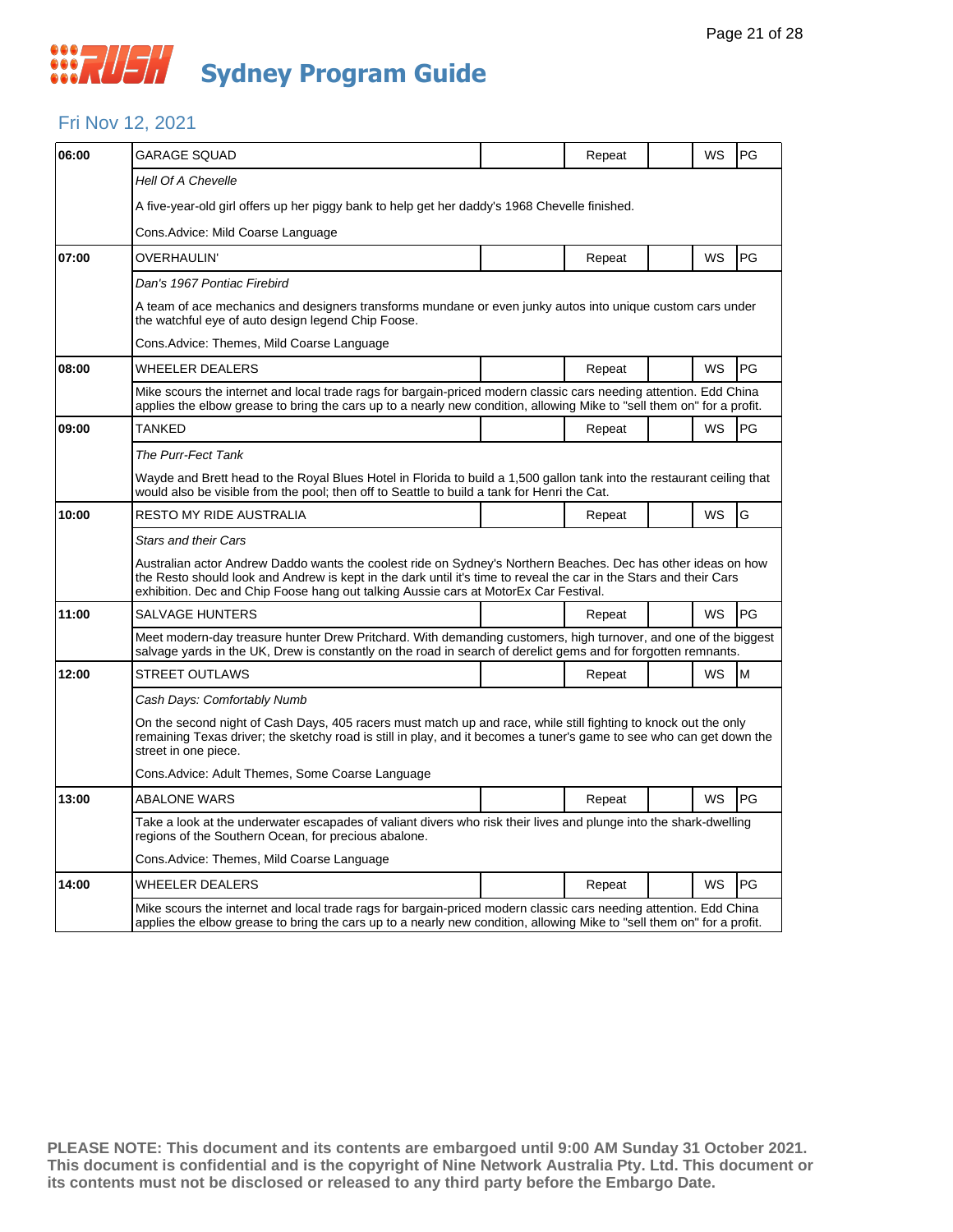## *CONSTRUSH* **Sydney Program Guide**

### Fri Nov 12, 2021

| 06:00 | <b>GARAGE SQUAD</b>                                                                                                                                                                                                                                                                                                                                        |                                                                                                                                                                                                                                             | Repeat |  | WS        | PG        |  |  |
|-------|------------------------------------------------------------------------------------------------------------------------------------------------------------------------------------------------------------------------------------------------------------------------------------------------------------------------------------------------------------|---------------------------------------------------------------------------------------------------------------------------------------------------------------------------------------------------------------------------------------------|--------|--|-----------|-----------|--|--|
|       | <b>Hell Of A Chevelle</b>                                                                                                                                                                                                                                                                                                                                  |                                                                                                                                                                                                                                             |        |  |           |           |  |  |
|       | A five-year-old girl offers up her piggy bank to help get her daddy's 1968 Chevelle finished.                                                                                                                                                                                                                                                              |                                                                                                                                                                                                                                             |        |  |           |           |  |  |
|       | Cons.Advice: Mild Coarse Language                                                                                                                                                                                                                                                                                                                          |                                                                                                                                                                                                                                             |        |  |           |           |  |  |
| 07:00 | OVERHAULIN'                                                                                                                                                                                                                                                                                                                                                |                                                                                                                                                                                                                                             | Repeat |  | WS        | PG        |  |  |
|       | Dan's 1967 Pontiac Firebird                                                                                                                                                                                                                                                                                                                                |                                                                                                                                                                                                                                             |        |  |           |           |  |  |
|       | A team of ace mechanics and designers transforms mundane or even junky autos into unique custom cars under<br>the watchful eye of auto design legend Chip Foose.                                                                                                                                                                                           |                                                                                                                                                                                                                                             |        |  |           |           |  |  |
|       | Cons.Advice: Themes, Mild Coarse Language                                                                                                                                                                                                                                                                                                                  |                                                                                                                                                                                                                                             |        |  |           |           |  |  |
| 08:00 | <b>WHEELER DEALERS</b>                                                                                                                                                                                                                                                                                                                                     |                                                                                                                                                                                                                                             | Repeat |  | <b>WS</b> | PG        |  |  |
|       | Mike scours the internet and local trade rags for bargain-priced modern classic cars needing attention. Edd China<br>applies the elbow grease to bring the cars up to a nearly new condition, allowing Mike to "sell them on" for a profit.                                                                                                                |                                                                                                                                                                                                                                             |        |  |           |           |  |  |
| 09:00 | TANKED                                                                                                                                                                                                                                                                                                                                                     |                                                                                                                                                                                                                                             | Repeat |  | WS        | PG        |  |  |
|       | The Purr-Fect Tank                                                                                                                                                                                                                                                                                                                                         |                                                                                                                                                                                                                                             |        |  |           |           |  |  |
|       | Wayde and Brett head to the Royal Blues Hotel in Florida to build a 1,500 gallon tank into the restaurant ceiling that<br>would also be visible from the pool; then off to Seattle to build a tank for Henri the Cat.                                                                                                                                      |                                                                                                                                                                                                                                             |        |  |           |           |  |  |
| 10:00 | RESTO MY RIDE AUSTRALIA                                                                                                                                                                                                                                                                                                                                    |                                                                                                                                                                                                                                             | Repeat |  | WS        | G         |  |  |
|       | <b>Stars and their Cars</b><br>Australian actor Andrew Daddo wants the coolest ride on Sydney's Northern Beaches. Dec has other ideas on how<br>the Resto should look and Andrew is kept in the dark until it's time to reveal the car in the Stars and their Cars<br>exhibition. Dec and Chip Foose hang out talking Aussie cars at MotorEx Car Festival. |                                                                                                                                                                                                                                             |        |  |           |           |  |  |
| 11:00 | <b>SALVAGE HUNTERS</b>                                                                                                                                                                                                                                                                                                                                     |                                                                                                                                                                                                                                             | Repeat |  | WS        | <b>PG</b> |  |  |
|       | Meet modern-day treasure hunter Drew Pritchard. With demanding customers, high turnover, and one of the biggest<br>salvage yards in the UK, Drew is constantly on the road in search of derelict gems and for forgotten remnants.                                                                                                                          |                                                                                                                                                                                                                                             |        |  |           |           |  |  |
| 12:00 | <b>STREET OUTLAWS</b>                                                                                                                                                                                                                                                                                                                                      |                                                                                                                                                                                                                                             | Repeat |  | WS        | M         |  |  |
|       | Cash Days: Comfortably Numb                                                                                                                                                                                                                                                                                                                                |                                                                                                                                                                                                                                             |        |  |           |           |  |  |
|       | On the second night of Cash Days, 405 racers must match up and race, while still fighting to knock out the only<br>remaining Texas driver; the sketchy road is still in play, and it becomes a tuner's game to see who can get down the<br>street in one piece.                                                                                            |                                                                                                                                                                                                                                             |        |  |           |           |  |  |
|       | Cons. Advice: Adult Themes, Some Coarse Language                                                                                                                                                                                                                                                                                                           |                                                                                                                                                                                                                                             |        |  |           |           |  |  |
| 13:00 | <b>ABALONE WARS</b>                                                                                                                                                                                                                                                                                                                                        |                                                                                                                                                                                                                                             | Repeat |  | WS        | PG        |  |  |
|       | Take a look at the underwater escapades of valiant divers who risk their lives and plunge into the shark-dwelling<br>regions of the Southern Ocean, for precious abalone.                                                                                                                                                                                  |                                                                                                                                                                                                                                             |        |  |           |           |  |  |
|       | Cons.Advice: Themes, Mild Coarse Language                                                                                                                                                                                                                                                                                                                  |                                                                                                                                                                                                                                             |        |  |           |           |  |  |
| 14:00 | WHEELER DEALERS                                                                                                                                                                                                                                                                                                                                            |                                                                                                                                                                                                                                             | Repeat |  | WS        | PG        |  |  |
|       |                                                                                                                                                                                                                                                                                                                                                            | Mike scours the internet and local trade rags for bargain-priced modern classic cars needing attention. Edd China<br>applies the elbow grease to bring the cars up to a nearly new condition, allowing Mike to "sell them on" for a profit. |        |  |           |           |  |  |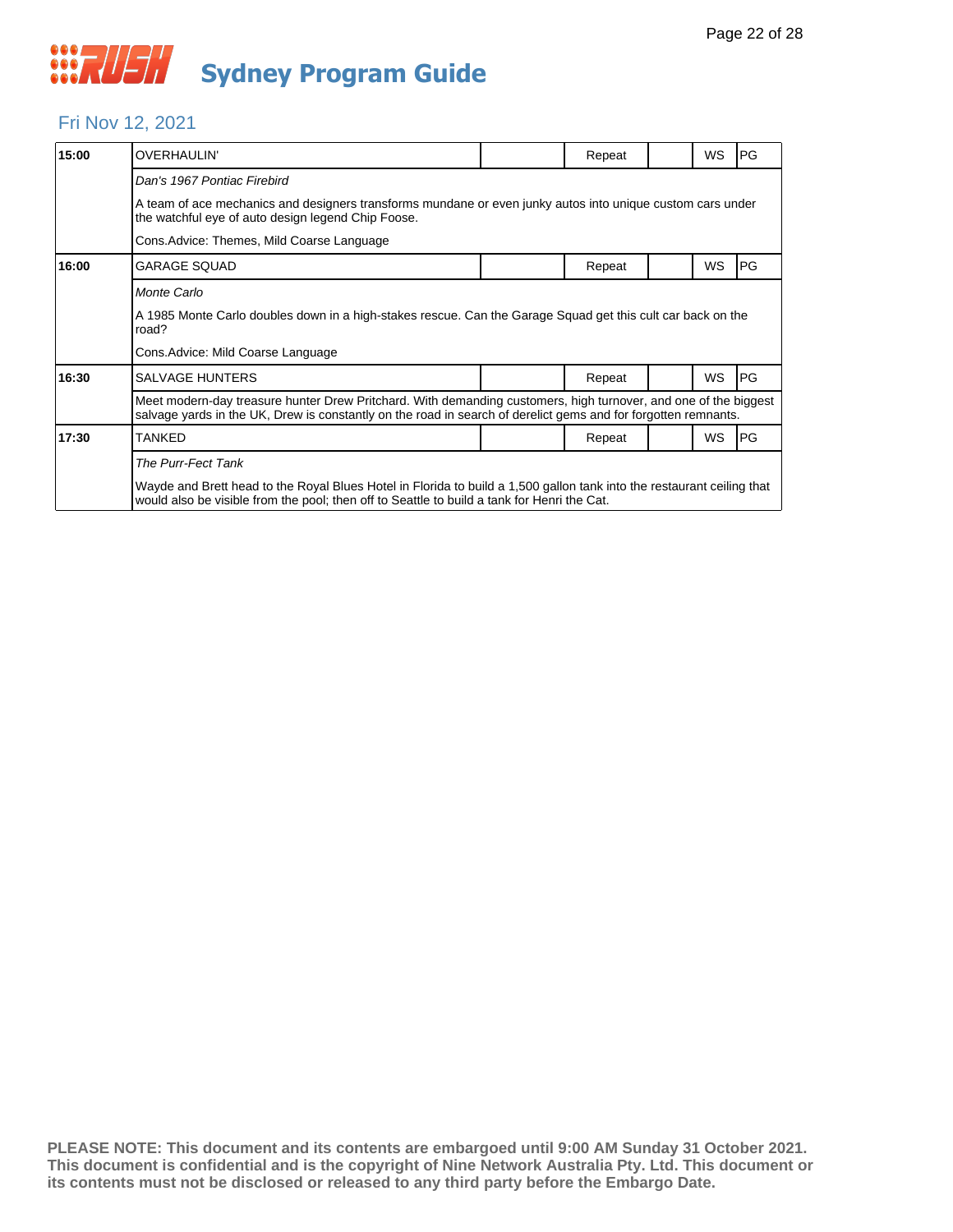#### Fri Nov 12, 2021

| 15:00 | OVERHAULIN'                                                                                                                                                                                                                       |                                                                                                            | Repeat |  | WS | <b>PG</b> |  |  |  |  |
|-------|-----------------------------------------------------------------------------------------------------------------------------------------------------------------------------------------------------------------------------------|------------------------------------------------------------------------------------------------------------|--------|--|----|-----------|--|--|--|--|
|       | Dan's 1967 Pontiac Firebird                                                                                                                                                                                                       |                                                                                                            |        |  |    |           |  |  |  |  |
|       | the watchful eye of auto design legend Chip Foose.                                                                                                                                                                                | A team of ace mechanics and designers transforms mundane or even junky autos into unique custom cars under |        |  |    |           |  |  |  |  |
|       | Cons. Advice: Themes, Mild Coarse Language                                                                                                                                                                                        |                                                                                                            |        |  |    |           |  |  |  |  |
| 16:00 | <b>GARAGE SQUAD</b>                                                                                                                                                                                                               |                                                                                                            | Repeat |  | WS | PG        |  |  |  |  |
|       | Monte Carlo                                                                                                                                                                                                                       |                                                                                                            |        |  |    |           |  |  |  |  |
|       | A 1985 Monte Carlo doubles down in a high-stakes rescue. Can the Garage Squad get this cult car back on the<br>road?                                                                                                              |                                                                                                            |        |  |    |           |  |  |  |  |
|       | Cons. Advice: Mild Coarse Language                                                                                                                                                                                                |                                                                                                            |        |  |    |           |  |  |  |  |
| 16:30 | <b>SALVAGE HUNTERS</b>                                                                                                                                                                                                            |                                                                                                            | Repeat |  | WS | <b>PG</b> |  |  |  |  |
|       | Meet modern-day treasure hunter Drew Pritchard. With demanding customers, high turnover, and one of the biggest<br>salvage yards in the UK, Drew is constantly on the road in search of derelict gems and for forgotten remnants. |                                                                                                            |        |  |    |           |  |  |  |  |
| 17:30 | <b>TANKED</b>                                                                                                                                                                                                                     |                                                                                                            | Repeat |  | WS | PG        |  |  |  |  |
|       | The Purr-Fect Tank                                                                                                                                                                                                                |                                                                                                            |        |  |    |           |  |  |  |  |
|       | Wayde and Brett head to the Royal Blues Hotel in Florida to build a 1,500 gallon tank into the restaurant ceiling that<br>would also be visible from the pool; then off to Seattle to build a tank for Henri the Cat.             |                                                                                                            |        |  |    |           |  |  |  |  |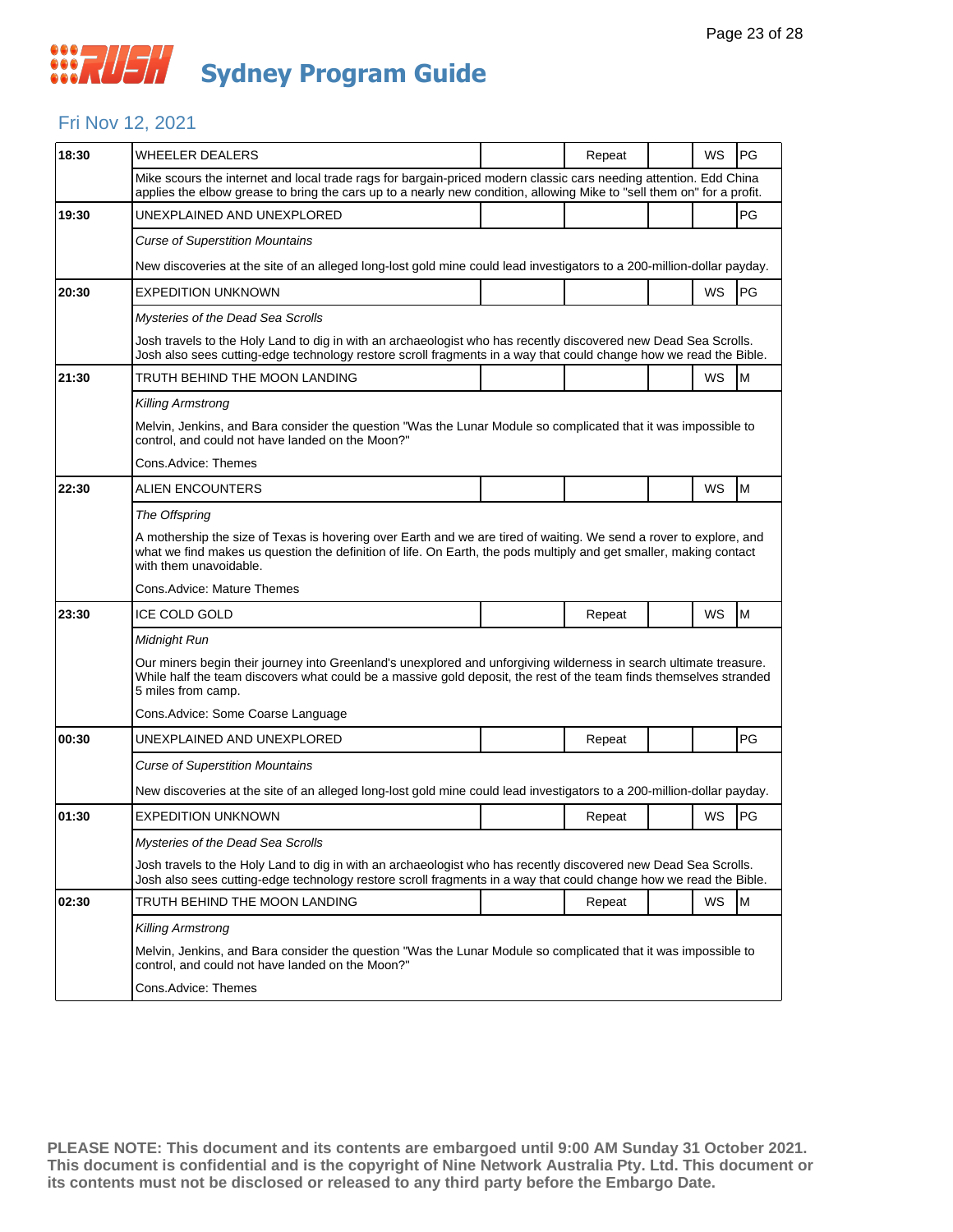### Fri Nov 12, 2021

| 18:30 | WHEELER DEALERS                                                                                                                                                                                                                                                    |  | Repeat |  | WS | PG                                                                                    |  |  |  |
|-------|--------------------------------------------------------------------------------------------------------------------------------------------------------------------------------------------------------------------------------------------------------------------|--|--------|--|----|---------------------------------------------------------------------------------------|--|--|--|
|       | Mike scours the internet and local trade rags for bargain-priced modern classic cars needing attention. Edd China<br>applies the elbow grease to bring the cars up to a nearly new condition, allowing Mike to "sell them on" for a profit.                        |  |        |  |    |                                                                                       |  |  |  |
| 19:30 | UNEXPLAINED AND UNEXPLORED                                                                                                                                                                                                                                         |  |        |  |    | PG                                                                                    |  |  |  |
|       | <b>Curse of Superstition Mountains</b>                                                                                                                                                                                                                             |  |        |  |    |                                                                                       |  |  |  |
|       | New discoveries at the site of an alleged long-lost gold mine could lead investigators to a 200-million-dollar payday.                                                                                                                                             |  |        |  |    |                                                                                       |  |  |  |
| 20:30 | <b>EXPEDITION UNKNOWN</b>                                                                                                                                                                                                                                          |  |        |  | WS | PG                                                                                    |  |  |  |
|       | Mysteries of the Dead Sea Scrolls                                                                                                                                                                                                                                  |  |        |  |    |                                                                                       |  |  |  |
|       | Josh travels to the Holy Land to dig in with an archaeologist who has recently discovered new Dead Sea Scrolls.<br>Josh also sees cutting-edge technology restore scroll fragments in a way that could change how we read the Bible.                               |  |        |  |    |                                                                                       |  |  |  |
| 21:30 | TRUTH BEHIND THE MOON LANDING                                                                                                                                                                                                                                      |  |        |  | WS | M                                                                                     |  |  |  |
|       | <b>Killing Armstrong</b>                                                                                                                                                                                                                                           |  |        |  |    |                                                                                       |  |  |  |
|       | Melvin, Jenkins, and Bara consider the question "Was the Lunar Module so complicated that it was impossible to<br>control, and could not have landed on the Moon?"                                                                                                 |  |        |  |    |                                                                                       |  |  |  |
|       | Cons.Advice: Themes                                                                                                                                                                                                                                                |  |        |  |    |                                                                                       |  |  |  |
| 22:30 | <b>ALIEN ENCOUNTERS</b>                                                                                                                                                                                                                                            |  |        |  | WS | M                                                                                     |  |  |  |
|       | The Offspring                                                                                                                                                                                                                                                      |  |        |  |    |                                                                                       |  |  |  |
|       | A mothership the size of Texas is hovering over Earth and we are tired of waiting. We send a rover to explore, and<br>what we find makes us question the definition of life. On Earth, the pods multiply and get smaller, making contact<br>with them unavoidable. |  |        |  |    |                                                                                       |  |  |  |
|       | Cons. Advice: Mature Themes                                                                                                                                                                                                                                        |  |        |  |    |                                                                                       |  |  |  |
| 23:30 | <b>ICE COLD GOLD</b>                                                                                                                                                                                                                                               |  | Repeat |  | WS | M                                                                                     |  |  |  |
|       | Midnight Run                                                                                                                                                                                                                                                       |  |        |  |    |                                                                                       |  |  |  |
|       | Our miners begin their journey into Greenland's unexplored and unforgiving wilderness in search ultimate treasure.<br>While half the team discovers what could be a massive gold deposit, the rest of the team finds themselves stranded<br>5 miles from camp.     |  |        |  |    |                                                                                       |  |  |  |
|       | Cons.Advice: Some Coarse Language                                                                                                                                                                                                                                  |  |        |  |    |                                                                                       |  |  |  |
| 00:30 | UNEXPLAINED AND UNEXPLORED                                                                                                                                                                                                                                         |  | Repeat |  |    | PG                                                                                    |  |  |  |
|       | <b>Curse of Superstition Mountains</b>                                                                                                                                                                                                                             |  |        |  |    |                                                                                       |  |  |  |
|       | New discoveries at the site of an alleged long-lost gold mine could lead investigators to a 200-million-dollar payday.                                                                                                                                             |  |        |  |    |                                                                                       |  |  |  |
| 01:30 | <b>EXPEDITION UNKNOWN</b>                                                                                                                                                                                                                                          |  | Repeat |  | WS | PG                                                                                    |  |  |  |
|       | Mysteries of the Dead Sea Scrolls                                                                                                                                                                                                                                  |  |        |  |    |                                                                                       |  |  |  |
|       | Josh travels to the Holy Land to dig in with an archaeologist who has recently discovered new Dead Sea Scrolls.<br>Josh also sees cutting-edge technology restore scroll fragments in a way that could change how we read the Bible.                               |  |        |  |    |                                                                                       |  |  |  |
| 02:30 | TRUTH BEHIND THE MOON LANDING                                                                                                                                                                                                                                      |  | Repeat |  | WS | $\mathsf{M}% _{T}=\mathsf{M}_{T}\!\left( a,b\right) ,\ \mathsf{M}_{T}=\mathsf{M}_{T}$ |  |  |  |
|       | <b>Killing Armstrong</b>                                                                                                                                                                                                                                           |  |        |  |    |                                                                                       |  |  |  |
|       | Melvin, Jenkins, and Bara consider the question "Was the Lunar Module so complicated that it was impossible to<br>control, and could not have landed on the Moon?"                                                                                                 |  |        |  |    |                                                                                       |  |  |  |
|       | Cons.Advice: Themes                                                                                                                                                                                                                                                |  |        |  |    |                                                                                       |  |  |  |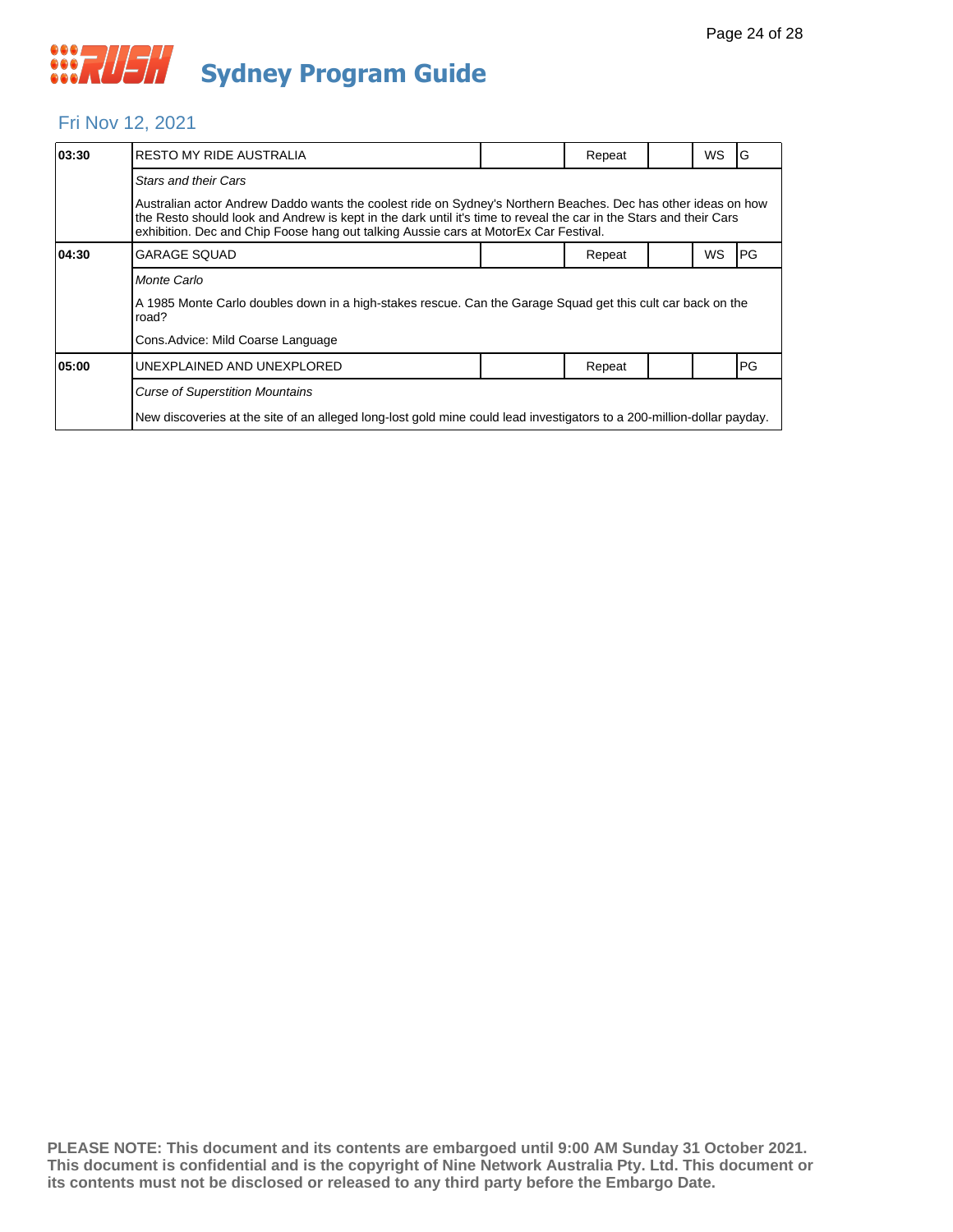

### Fri Nov 12, 2021

| 03:30 | <b>RESTO MY RIDE AUSTRALIA</b>                                                                                                                                                                                                                                                                                              |  | Repeat |  | WS | G    |  |  |
|-------|-----------------------------------------------------------------------------------------------------------------------------------------------------------------------------------------------------------------------------------------------------------------------------------------------------------------------------|--|--------|--|----|------|--|--|
|       | <b>Stars and their Cars</b>                                                                                                                                                                                                                                                                                                 |  |        |  |    |      |  |  |
|       | Australian actor Andrew Daddo wants the coolest ride on Sydney's Northern Beaches. Dec has other ideas on how<br>the Resto should look and Andrew is kept in the dark until it's time to reveal the car in the Stars and their Cars<br>exhibition. Dec and Chip Foose hang out talking Aussie cars at MotorEx Car Festival. |  |        |  |    |      |  |  |
| 04:30 | <b>GARAGE SQUAD</b>                                                                                                                                                                                                                                                                                                         |  | Repeat |  | WS | l PG |  |  |
|       | Monte Carlo                                                                                                                                                                                                                                                                                                                 |  |        |  |    |      |  |  |
|       | A 1985 Monte Carlo doubles down in a high-stakes rescue. Can the Garage Squad get this cult car back on the<br>road?                                                                                                                                                                                                        |  |        |  |    |      |  |  |
|       | Cons. Advice: Mild Coarse Language                                                                                                                                                                                                                                                                                          |  |        |  |    |      |  |  |
| 05:00 | UNEXPLAINED AND UNEXPLORED                                                                                                                                                                                                                                                                                                  |  | Repeat |  |    | PG   |  |  |
|       | <b>Curse of Superstition Mountains</b>                                                                                                                                                                                                                                                                                      |  |        |  |    |      |  |  |
|       | New discoveries at the site of an alleged long-lost gold mine could lead investigators to a 200-million-dollar payday.                                                                                                                                                                                                      |  |        |  |    |      |  |  |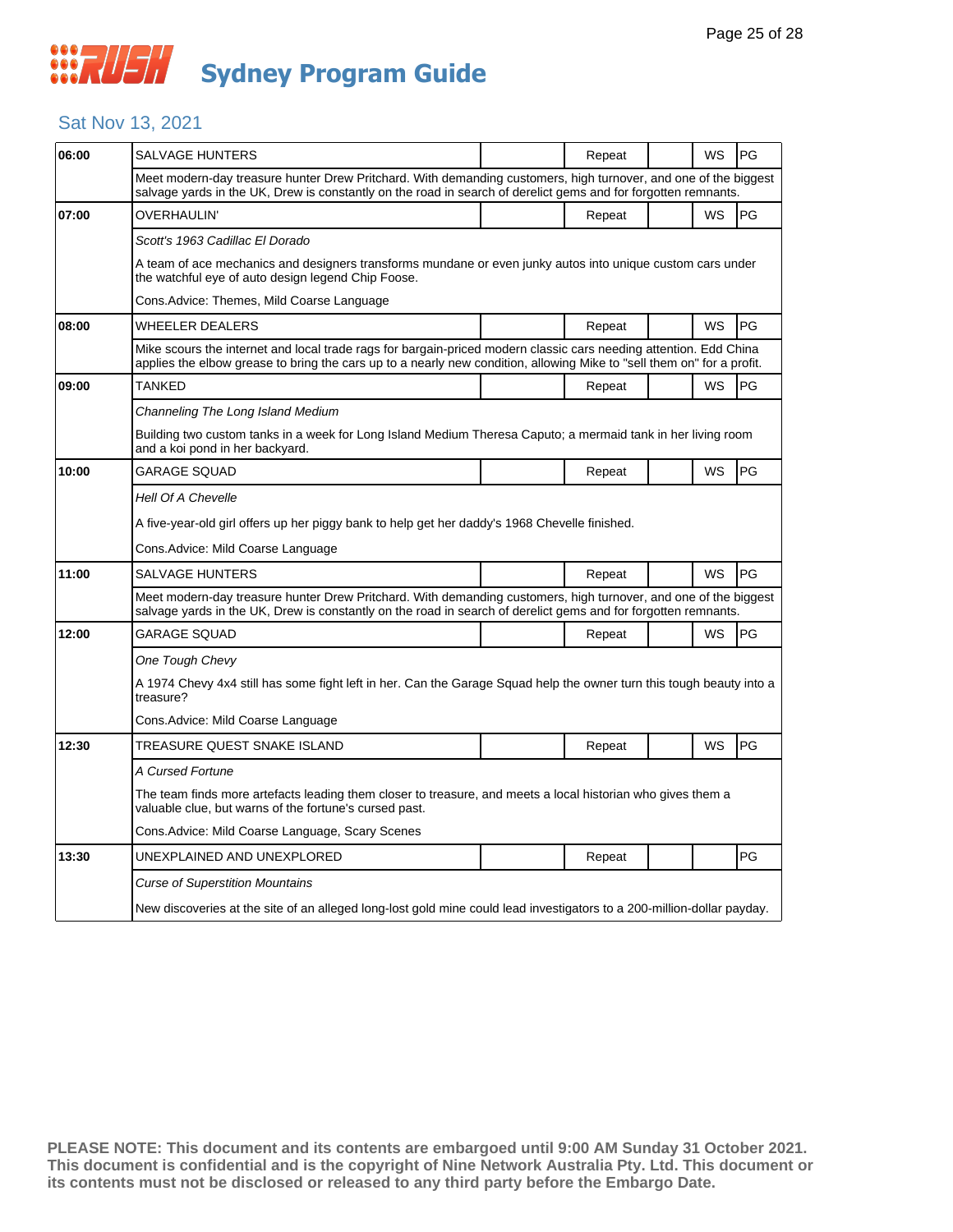### Sat Nov 13, 2021

| 06:00 | SALVAGE HUNTERS                                                                                                                                                                                                                             |  | Repeat |  | WS        | PG |  |  |  |
|-------|---------------------------------------------------------------------------------------------------------------------------------------------------------------------------------------------------------------------------------------------|--|--------|--|-----------|----|--|--|--|
|       | Meet modern-day treasure hunter Drew Pritchard. With demanding customers, high turnover, and one of the biggest<br>salvage yards in the UK, Drew is constantly on the road in search of derelict gems and for forgotten remnants.           |  |        |  |           |    |  |  |  |
| 07:00 | OVERHAULIN'                                                                                                                                                                                                                                 |  | Repeat |  | WS        | PG |  |  |  |
|       | Scott's 1963 Cadillac El Dorado                                                                                                                                                                                                             |  |        |  |           |    |  |  |  |
|       | A team of ace mechanics and designers transforms mundane or even junky autos into unique custom cars under<br>the watchful eye of auto design legend Chip Foose.                                                                            |  |        |  |           |    |  |  |  |
|       | Cons.Advice: Themes, Mild Coarse Language                                                                                                                                                                                                   |  |        |  |           |    |  |  |  |
| 08:00 | <b>WHEELER DEALERS</b>                                                                                                                                                                                                                      |  | Repeat |  | <b>WS</b> | PG |  |  |  |
|       | Mike scours the internet and local trade rags for bargain-priced modern classic cars needing attention. Edd China<br>applies the elbow grease to bring the cars up to a nearly new condition, allowing Mike to "sell them on" for a profit. |  |        |  |           |    |  |  |  |
| 09:00 | TANKED                                                                                                                                                                                                                                      |  | Repeat |  | WS        | PG |  |  |  |
|       | Channeling The Long Island Medium                                                                                                                                                                                                           |  |        |  |           |    |  |  |  |
|       | Building two custom tanks in a week for Long Island Medium Theresa Caputo; a mermaid tank in her living room<br>and a koi pond in her backyard.                                                                                             |  |        |  |           |    |  |  |  |
| 10:00 | <b>GARAGE SQUAD</b>                                                                                                                                                                                                                         |  | Repeat |  | <b>WS</b> | PG |  |  |  |
|       | Hell Of A Chevelle                                                                                                                                                                                                                          |  |        |  |           |    |  |  |  |
|       | A five-year-old girl offers up her piggy bank to help get her daddy's 1968 Chevelle finished.                                                                                                                                               |  |        |  |           |    |  |  |  |
|       | Cons.Advice: Mild Coarse Language                                                                                                                                                                                                           |  |        |  |           |    |  |  |  |
| 11:00 | SALVAGE HUNTERS                                                                                                                                                                                                                             |  | Repeat |  | WS        | PG |  |  |  |
|       | Meet modern-day treasure hunter Drew Pritchard. With demanding customers, high turnover, and one of the biggest<br>salvage yards in the UK, Drew is constantly on the road in search of derelict gems and for forgotten remnants.           |  |        |  |           |    |  |  |  |
| 12:00 | GARAGE SQUAD                                                                                                                                                                                                                                |  | Repeat |  | WS        | PG |  |  |  |
|       | One Tough Chevy                                                                                                                                                                                                                             |  |        |  |           |    |  |  |  |
|       | A 1974 Chevy 4x4 still has some fight left in her. Can the Garage Squad help the owner turn this tough beauty into a<br>treasure?                                                                                                           |  |        |  |           |    |  |  |  |
|       | Cons.Advice: Mild Coarse Language                                                                                                                                                                                                           |  |        |  |           |    |  |  |  |
| 12:30 | TREASURE QUEST SNAKE ISLAND                                                                                                                                                                                                                 |  | Repeat |  | WS        | PG |  |  |  |
|       | A Cursed Fortune                                                                                                                                                                                                                            |  |        |  |           |    |  |  |  |
|       | The team finds more artefacts leading them closer to treasure, and meets a local historian who gives them a<br>valuable clue, but warns of the fortune's cursed past.                                                                       |  |        |  |           |    |  |  |  |
|       | Cons. Advice: Mild Coarse Language, Scary Scenes                                                                                                                                                                                            |  |        |  |           |    |  |  |  |
| 13:30 | UNEXPLAINED AND UNEXPLORED                                                                                                                                                                                                                  |  | Repeat |  |           | PG |  |  |  |
|       | <b>Curse of Superstition Mountains</b>                                                                                                                                                                                                      |  |        |  |           |    |  |  |  |
|       | New discoveries at the site of an alleged long-lost gold mine could lead investigators to a 200-million-dollar payday.                                                                                                                      |  |        |  |           |    |  |  |  |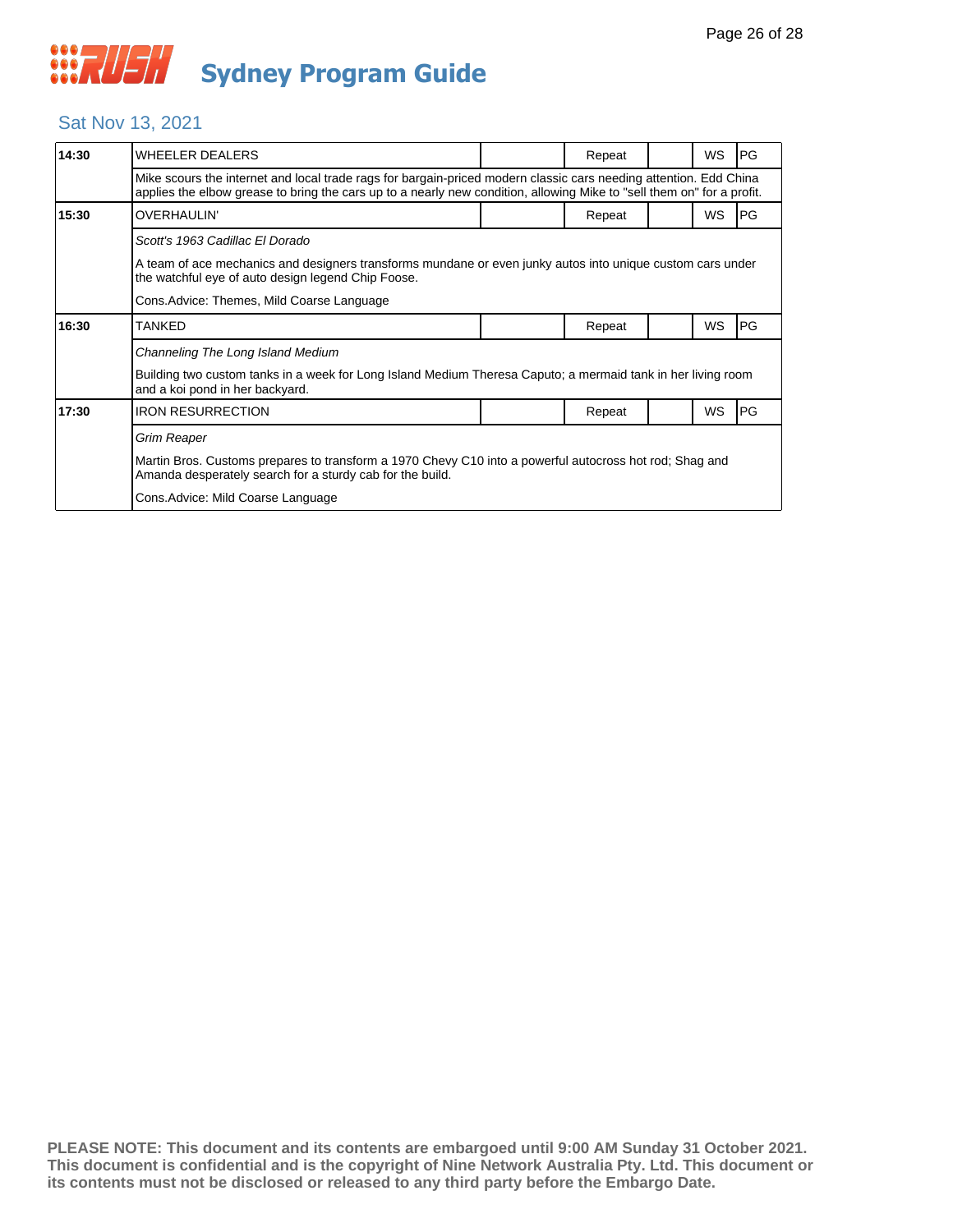### Sat Nov 13, 2021

| 14:30 | WHEELER DEALERS                                                                                                                                                                                                                             |  | Repeat |  | WS        | IPG. |  |  |
|-------|---------------------------------------------------------------------------------------------------------------------------------------------------------------------------------------------------------------------------------------------|--|--------|--|-----------|------|--|--|
|       | Mike scours the internet and local trade rags for bargain-priced modern classic cars needing attention. Edd China<br>applies the elbow grease to bring the cars up to a nearly new condition, allowing Mike to "sell them on" for a profit. |  |        |  |           |      |  |  |
| 15:30 | <b>OVERHAULIN'</b>                                                                                                                                                                                                                          |  | Repeat |  | <b>WS</b> | PG   |  |  |
|       | Scott's 1963 Cadillac El Dorado                                                                                                                                                                                                             |  |        |  |           |      |  |  |
|       | A team of ace mechanics and designers transforms mundane or even junky autos into unique custom cars under<br>the watchful eye of auto design legend Chip Foose.                                                                            |  |        |  |           |      |  |  |
|       | Cons.Advice: Themes, Mild Coarse Language                                                                                                                                                                                                   |  |        |  |           |      |  |  |
| 16:30 | TANKED                                                                                                                                                                                                                                      |  | Repeat |  | WS        | PG   |  |  |
|       | Channeling The Long Island Medium                                                                                                                                                                                                           |  |        |  |           |      |  |  |
|       | Building two custom tanks in a week for Long Island Medium Theresa Caputo; a mermaid tank in her living room<br>and a koi pond in her backyard.                                                                                             |  |        |  |           |      |  |  |
| 17:30 | <b>IRON RESURRECTION</b>                                                                                                                                                                                                                    |  | Repeat |  | WS        | PG   |  |  |
|       | Grim Reaper                                                                                                                                                                                                                                 |  |        |  |           |      |  |  |
|       | Martin Bros. Customs prepares to transform a 1970 Chevy C10 into a powerful autocross hot rod; Shag and<br>Amanda desperately search for a sturdy cab for the build.                                                                        |  |        |  |           |      |  |  |
|       | Cons. Advice: Mild Coarse Language                                                                                                                                                                                                          |  |        |  |           |      |  |  |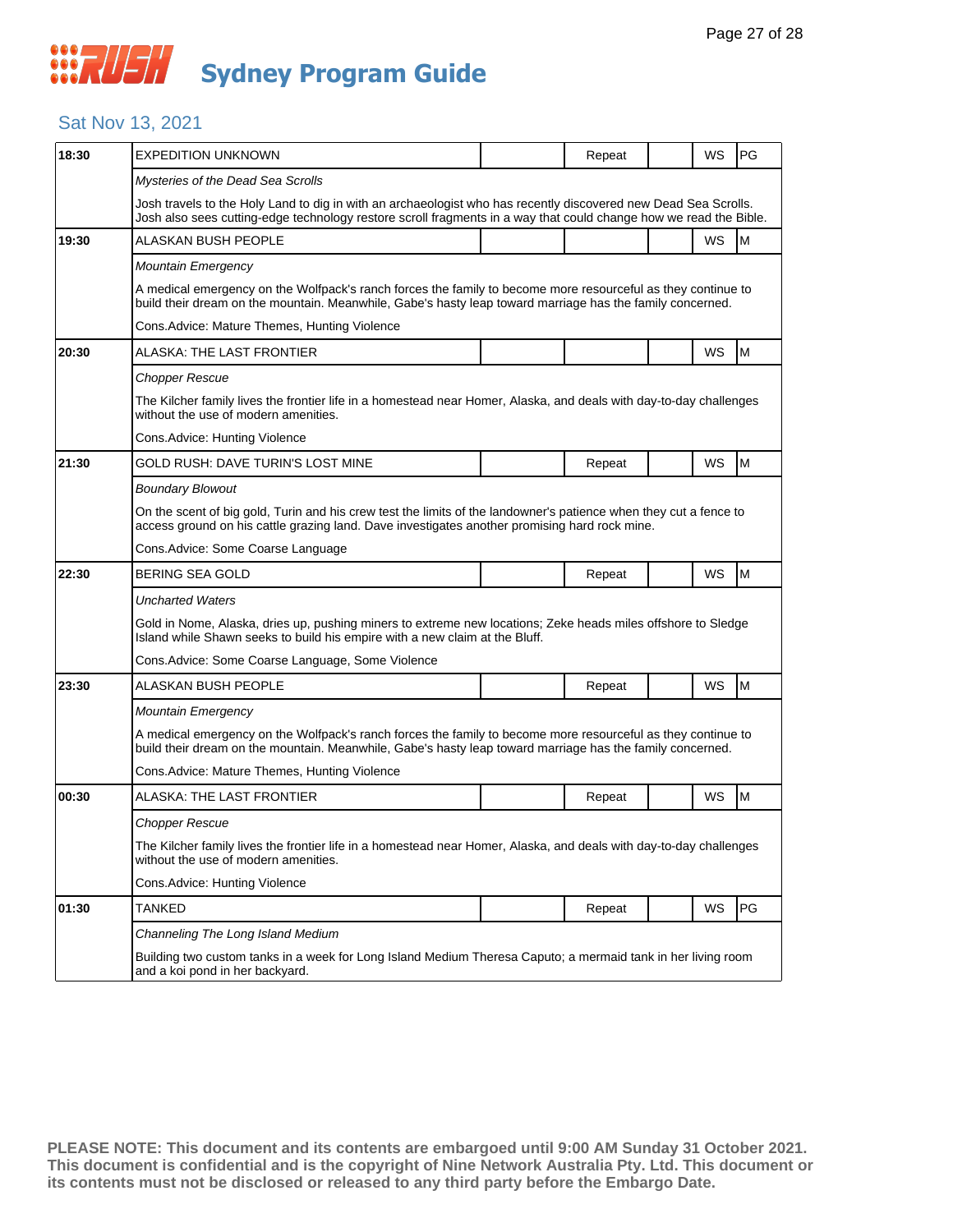## *CONSTRUSH* **Sydney Program Guide**

### Sat Nov 13, 2021

| 18:30 | <b>EXPEDITION UNKNOWN</b>                                                                                                                                                                                                            |  | Repeat |  | WS        | PG |  |  |
|-------|--------------------------------------------------------------------------------------------------------------------------------------------------------------------------------------------------------------------------------------|--|--------|--|-----------|----|--|--|
|       | Mysteries of the Dead Sea Scrolls                                                                                                                                                                                                    |  |        |  |           |    |  |  |
|       | Josh travels to the Holy Land to dig in with an archaeologist who has recently discovered new Dead Sea Scrolls.<br>Josh also sees cutting-edge technology restore scroll fragments in a way that could change how we read the Bible. |  |        |  |           |    |  |  |
| 19:30 | ALASKAN BUSH PEOPLE                                                                                                                                                                                                                  |  |        |  | WS        | M  |  |  |
|       | <b>Mountain Emergency</b>                                                                                                                                                                                                            |  |        |  |           |    |  |  |
|       | A medical emergency on the Wolfpack's ranch forces the family to become more resourceful as they continue to<br>build their dream on the mountain. Meanwhile, Gabe's hasty leap toward marriage has the family concerned.            |  |        |  |           |    |  |  |
|       | Cons. Advice: Mature Themes, Hunting Violence                                                                                                                                                                                        |  |        |  |           |    |  |  |
| 20:30 | ALASKA: THE LAST FRONTIER                                                                                                                                                                                                            |  |        |  | WS        | M  |  |  |
|       | <b>Chopper Rescue</b>                                                                                                                                                                                                                |  |        |  |           |    |  |  |
|       | The Kilcher family lives the frontier life in a homestead near Homer, Alaska, and deals with day-to-day challenges<br>without the use of modern amenities.                                                                           |  |        |  |           |    |  |  |
|       | Cons. Advice: Hunting Violence                                                                                                                                                                                                       |  |        |  |           |    |  |  |
| 21:30 | GOLD RUSH: DAVE TURIN'S LOST MINE                                                                                                                                                                                                    |  | Repeat |  | <b>WS</b> | M  |  |  |
|       | <b>Boundary Blowout</b>                                                                                                                                                                                                              |  |        |  |           |    |  |  |
|       | On the scent of big gold, Turin and his crew test the limits of the landowner's patience when they cut a fence to<br>access ground on his cattle grazing land. Dave investigates another promising hard rock mine.                   |  |        |  |           |    |  |  |
|       | Cons.Advice: Some Coarse Language                                                                                                                                                                                                    |  |        |  |           |    |  |  |
| 22:30 | <b>BERING SEA GOLD</b>                                                                                                                                                                                                               |  | Repeat |  | WS        | M  |  |  |
|       | <b>Uncharted Waters</b>                                                                                                                                                                                                              |  |        |  |           |    |  |  |
|       | Gold in Nome, Alaska, dries up, pushing miners to extreme new locations; Zeke heads miles offshore to Sledge<br>Island while Shawn seeks to build his empire with a new claim at the Bluff.                                          |  |        |  |           |    |  |  |
|       | Cons. Advice: Some Coarse Language, Some Violence                                                                                                                                                                                    |  |        |  |           |    |  |  |
| 23:30 | ALASKAN BUSH PEOPLE                                                                                                                                                                                                                  |  | Repeat |  | <b>WS</b> | M  |  |  |
|       | Mountain Emergency                                                                                                                                                                                                                   |  |        |  |           |    |  |  |
|       | A medical emergency on the Wolfpack's ranch forces the family to become more resourceful as they continue to<br>build their dream on the mountain. Meanwhile, Gabe's hasty leap toward marriage has the family concerned.            |  |        |  |           |    |  |  |
|       | Cons.Advice: Mature Themes, Hunting Violence                                                                                                                                                                                         |  |        |  |           |    |  |  |
| 00:30 | ALASKA: THE LAST FRONTIER                                                                                                                                                                                                            |  | Repeat |  | WS        | M  |  |  |
|       | Chopper Rescue                                                                                                                                                                                                                       |  |        |  |           |    |  |  |
|       | The Kilcher family lives the frontier life in a homestead near Homer, Alaska, and deals with day-to-day challenges<br>without the use of modern amenities.                                                                           |  |        |  |           |    |  |  |
|       | Cons.Advice: Hunting Violence                                                                                                                                                                                                        |  |        |  |           |    |  |  |
| 01:30 | TANKED                                                                                                                                                                                                                               |  | Repeat |  | WS        | PG |  |  |
|       | Channeling The Long Island Medium                                                                                                                                                                                                    |  |        |  |           |    |  |  |
|       | Building two custom tanks in a week for Long Island Medium Theresa Caputo; a mermaid tank in her living room<br>and a koi pond in her backyard.                                                                                      |  |        |  |           |    |  |  |